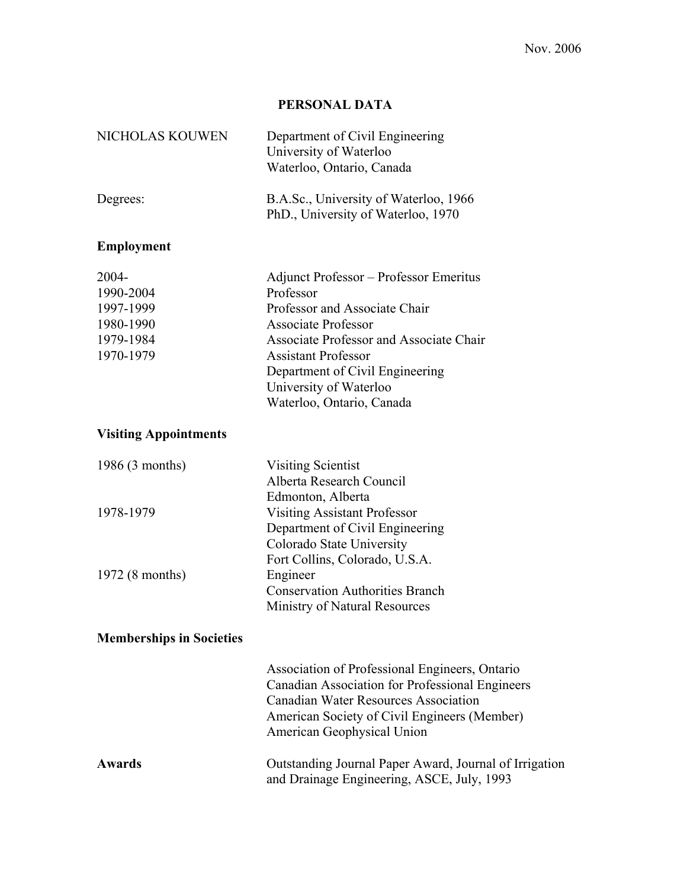# **PERSONAL DATA**

| NICHOLAS KOUWEN | Department of Civil Engineering<br>University of Waterloo<br>Waterloo, Ontario, Canada |
|-----------------|----------------------------------------------------------------------------------------|
| Degrees:        | B.A.Sc., University of Waterloo, 1966<br>PhD., University of Waterloo, 1970            |

# **Employment**

| $2004 -$  | Adjunct Professor – Professor Emeritus  |
|-----------|-----------------------------------------|
| 1990-2004 | Professor                               |
| 1997-1999 | Professor and Associate Chair           |
| 1980-1990 | <b>Associate Professor</b>              |
| 1979-1984 | Associate Professor and Associate Chair |
| 1970-1979 | <b>Assistant Professor</b>              |
|           | Department of Civil Engineering         |
|           | University of Waterloo                  |
|           | Waterloo, Ontario, Canada               |

# **Visiting Appointments**

| 1986 (3 months) | <b>Visiting Scientist</b>              |
|-----------------|----------------------------------------|
|                 | Alberta Research Council               |
|                 | Edmonton, Alberta                      |
| 1978-1979       | <b>Visiting Assistant Professor</b>    |
|                 | Department of Civil Engineering        |
|                 | Colorado State University              |
|                 | Fort Collins, Colorado, U.S.A.         |
| 1972 (8 months) | Engineer                               |
|                 | <b>Conservation Authorities Branch</b> |
|                 | Ministry of Natural Resources          |
|                 |                                        |

# **Memberships in Societies**

|        | Association of Professional Engineers, Ontario                                                       |
|--------|------------------------------------------------------------------------------------------------------|
|        | Canadian Association for Professional Engineers                                                      |
|        | <b>Canadian Water Resources Association</b>                                                          |
|        | American Society of Civil Engineers (Member)                                                         |
|        | American Geophysical Union                                                                           |
| Awards | Outstanding Journal Paper Award, Journal of Irrigation<br>and Drainage Engineering, ASCE, July, 1993 |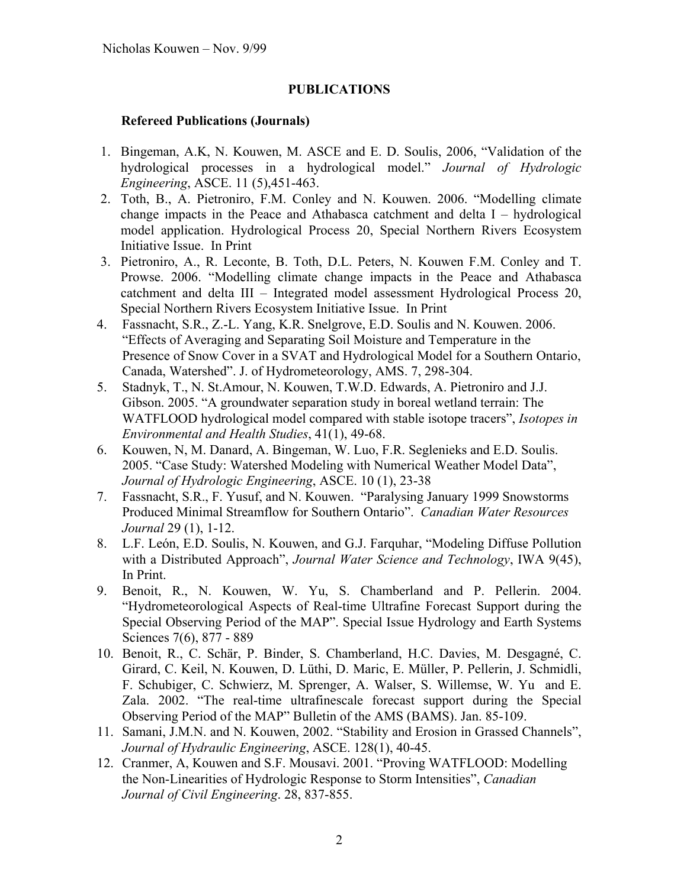# **PUBLICATIONS**

#### **Refereed Publications (Journals)**

- 1. Bingeman, A.K, N. Kouwen, M. ASCE and E. D. Soulis, 2006, "Validation of the hydrological processes in a hydrological model." *Journal of Hydrologic Engineering*, ASCE. 11 (5),451-463.
- 2. Toth, B., A. Pietroniro, F.M. Conley and N. Kouwen. 2006. "Modelling climate change impacts in the Peace and Athabasca catchment and delta I – hydrological model application. Hydrological Process 20, Special Northern Rivers Ecosystem Initiative Issue. In Print
- 3. Pietroniro, A., R. Leconte, B. Toth, D.L. Peters, N. Kouwen F.M. Conley and T. Prowse. 2006. "Modelling climate change impacts in the Peace and Athabasca catchment and delta III – Integrated model assessment Hydrological Process 20, Special Northern Rivers Ecosystem Initiative Issue. In Print
- 4. Fassnacht, S.R., Z.-L. Yang, K.R. Snelgrove, E.D. Soulis and N. Kouwen. 2006. "Effects of Averaging and Separating Soil Moisture and Temperature in the Presence of Snow Cover in a SVAT and Hydrological Model for a Southern Ontario, Canada, Watershed". J. of Hydrometeorology, AMS. 7, 298-304.
- 5. Stadnyk, T., N. St.Amour, N. Kouwen, T.W.D. Edwards, A. Pietroniro and J.J. Gibson. 2005. "A groundwater separation study in boreal wetland terrain: The WATFLOOD hydrological model compared with stable isotope tracers", *Isotopes in Environmental and Health Studies*, 41(1), 49-68.
- 6. Kouwen, N, M. Danard, A. Bingeman, W. Luo, F.R. Seglenieks and E.D. Soulis. 2005. "Case Study: Watershed Modeling with Numerical Weather Model Data", *Journal of Hydrologic Engineering*, ASCE. 10 (1), 23-38
- 7. Fassnacht, S.R., F. Yusuf, and N. Kouwen. "Paralysing January 1999 Snowstorms Produced Minimal Streamflow for Southern Ontario". *Canadian Water Resources Journal* 29 (1), 1-12.
- 8. L.F. León, E.D. Soulis, N. Kouwen, and G.J. Farquhar, "Modeling Diffuse Pollution with a Distributed Approach", *Journal Water Science and Technology*, IWA 9(45), In Print.
- 9. Benoit, R., N. Kouwen, W. Yu, S. Chamberland and P. Pellerin. 2004. "Hydrometeorological Aspects of Real-time Ultrafine Forecast Support during the Special Observing Period of the MAP". Special Issue Hydrology and Earth Systems Sciences 7(6), 877 - 889
- 10. Benoit, R., C. Schär, P. Binder, S. Chamberland, H.C. Davies, M. Desgagné, C. Girard, C. Keil, N. Kouwen, D. Lüthi, D. Maric, E. Müller, P. Pellerin, J. Schmidli, F. Schubiger, C. Schwierz, M. Sprenger, A. Walser, S. Willemse, W. Yu and E. Zala. 2002. "The real-time ultrafinescale forecast support during the Special Observing Period of the MAP" Bulletin of the AMS (BAMS). Jan. 85-109.
- 11. Samani, J.M.N. and N. Kouwen, 2002. "Stability and Erosion in Grassed Channels", *Journal of Hydraulic Engineering*, ASCE. 128(1), 40-45.
- 12. Cranmer, A, Kouwen and S.F. Mousavi. 2001. "Proving WATFLOOD: Modelling the Non-Linearities of Hydrologic Response to Storm Intensities", *Canadian Journal of Civil Engineering*. 28, 837-855.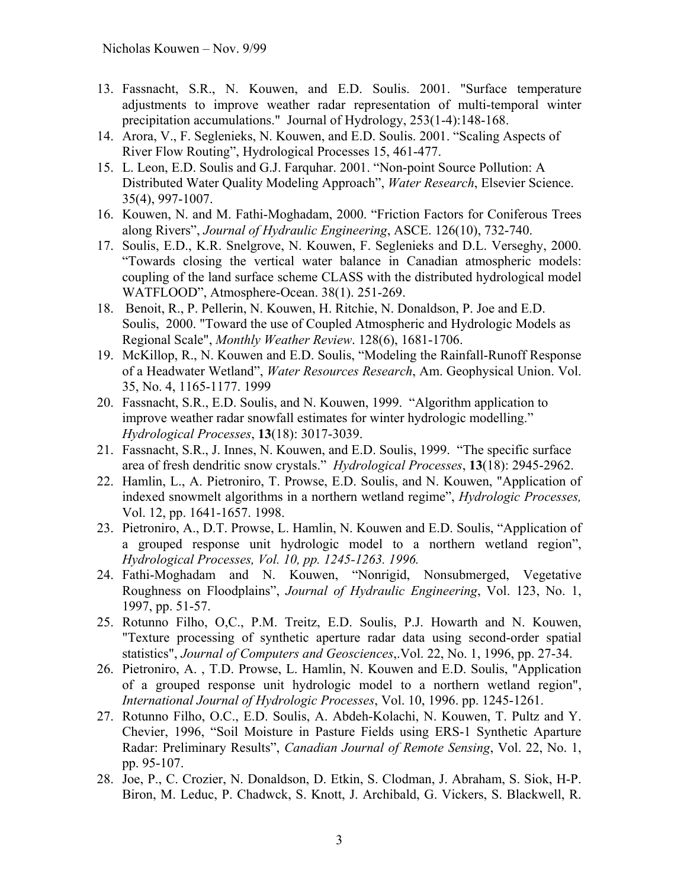- 13. Fassnacht, S.R., N. Kouwen, and E.D. Soulis. 2001. "Surface temperature adjustments to improve weather radar representation of multi-temporal winter precipitation accumulations." Journal of Hydrology, 253(1-4):148-168.
- 14. Arora, V., F. Seglenieks, N. Kouwen, and E.D. Soulis. 2001. "Scaling Aspects of River Flow Routing", Hydrological Processes 15, 461-477.
- 15. L. Leon, E.D. Soulis and G.J. Farquhar. 2001. "Non-point Source Pollution: A Distributed Water Quality Modeling Approach", *Water Research*, Elsevier Science. 35(4), 997-1007.
- 16. Kouwen, N. and M. Fathi-Moghadam, 2000. "Friction Factors for Coniferous Trees along Rivers", *Journal of Hydraulic Engineering*, ASCE. 126(10), 732-740.
- 17. Soulis, E.D., K.R. Snelgrove, N. Kouwen, F. Seglenieks and D.L. Verseghy, 2000. "Towards closing the vertical water balance in Canadian atmospheric models: coupling of the land surface scheme CLASS with the distributed hydrological model WATFLOOD", Atmosphere-Ocean. 38(1). 251-269.
- 18. Benoit, R., P. Pellerin, N. Kouwen, H. Ritchie, N. Donaldson, P. Joe and E.D. Soulis, 2000. "Toward the use of Coupled Atmospheric and Hydrologic Models as Regional Scale", *Monthly Weather Review*. 128(6), 1681-1706.
- 19. McKillop, R., N. Kouwen and E.D. Soulis, "Modeling the Rainfall-Runoff Response of a Headwater Wetland", *Water Resources Research*, Am. Geophysical Union. Vol. 35, No. 4, 1165-1177. 1999
- 20. Fassnacht, S.R., E.D. Soulis, and N. Kouwen, 1999. "Algorithm application to improve weather radar snowfall estimates for winter hydrologic modelling." *Hydrological Processes*, **13**(18): 3017-3039.
- 21. Fassnacht, S.R., J. Innes, N. Kouwen, and E.D. Soulis, 1999. "The specific surface area of fresh dendritic snow crystals." *Hydrological Processes*, **13**(18): 2945-2962.
- 22. Hamlin, L., A. Pietroniro, T. Prowse, E.D. Soulis, and N. Kouwen, "Application of indexed snowmelt algorithms in a northern wetland regime", *Hydrologic Processes,*  Vol. 12, pp. 1641-1657. 1998.
- 23. Pietroniro, A., D.T. Prowse, L. Hamlin, N. Kouwen and E.D. Soulis, "Application of a grouped response unit hydrologic model to a northern wetland region", *Hydrological Processes, Vol. 10, pp. 1245-1263. 1996.*
- 24. Fathi-Moghadam and N. Kouwen, "Nonrigid, Nonsubmerged, Vegetative Roughness on Floodplains", *Journal of Hydraulic Engineering*, Vol. 123, No. 1, 1997, pp. 51-57.
- 25. Rotunno Filho, O,C., P.M. Treitz, E.D. Soulis, P.J. Howarth and N. Kouwen, "Texture processing of synthetic aperture radar data using second-order spatial statistics", *Journal of Computers and Geosciences*,.Vol. 22, No. 1, 1996, pp. 27-34.
- 26. Pietroniro, A. , T.D. Prowse, L. Hamlin, N. Kouwen and E.D. Soulis, "Application of a grouped response unit hydrologic model to a northern wetland region", *International Journal of Hydrologic Processes*, Vol. 10, 1996. pp. 1245-1261.
- 27. Rotunno Filho, O.C., E.D. Soulis, A. Abdeh-Kolachi, N. Kouwen, T. Pultz and Y. Chevier, 1996, "Soil Moisture in Pasture Fields using ERS-1 Synthetic Aparture Radar: Preliminary Results", *Canadian Journal of Remote Sensing*, Vol. 22, No. 1, pp. 95-107.
- 28. Joe, P., C. Crozier, N. Donaldson, D. Etkin, S. Clodman, J. Abraham, S. Siok, H-P. Biron, M. Leduc, P. Chadwck, S. Knott, J. Archibald, G. Vickers, S. Blackwell, R.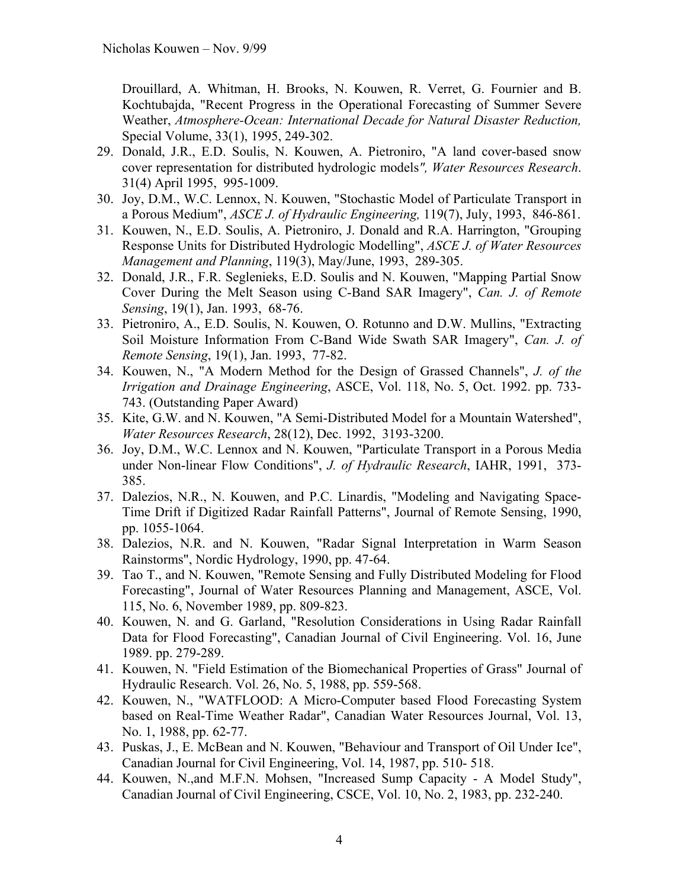Drouillard, A. Whitman, H. Brooks, N. Kouwen, R. Verret, G. Fournier and B. Kochtubajda, "Recent Progress in the Operational Forecasting of Summer Severe Weather, *Atmosphere-Ocean: International Decade for Natural Disaster Reduction,* Special Volume, 33(1), 1995, 249-302.

- 29. Donald, J.R., E.D. Soulis, N. Kouwen, A. Pietroniro, "A land cover-based snow cover representation for distributed hydrologic models*", Water Resources Research*. 31(4) April 1995, 995-1009.
- 30. Joy, D.M., W.C. Lennox, N. Kouwen, "Stochastic Model of Particulate Transport in a Porous Medium", *ASCE J. of Hydraulic Engineering,* 119(7), July, 1993, 846-861.
- 31. Kouwen, N., E.D. Soulis, A. Pietroniro, J. Donald and R.A. Harrington, "Grouping Response Units for Distributed Hydrologic Modelling", *ASCE J. of Water Resources Management and Planning*, 119(3), May/June, 1993, 289-305.
- 32. Donald, J.R., F.R. Seglenieks, E.D. Soulis and N. Kouwen, "Mapping Partial Snow Cover During the Melt Season using C-Band SAR Imagery", *Can. J. of Remote Sensing*, 19(1), Jan. 1993, 68-76.
- 33. Pietroniro, A., E.D. Soulis, N. Kouwen, O. Rotunno and D.W. Mullins, "Extracting Soil Moisture Information From C-Band Wide Swath SAR Imagery", *Can. J. of Remote Sensing*, 19(1), Jan. 1993, 77-82.
- 34. Kouwen, N., "A Modern Method for the Design of Grassed Channels", *J. of the Irrigation and Drainage Engineering*, ASCE, Vol. 118, No. 5, Oct. 1992. pp. 733- 743. (Outstanding Paper Award)
- 35. Kite, G.W. and N. Kouwen, "A Semi-Distributed Model for a Mountain Watershed", *Water Resources Research*, 28(12), Dec. 1992, 3193-3200.
- 36. Joy, D.M., W.C. Lennox and N. Kouwen, "Particulate Transport in a Porous Media under Non-linear Flow Conditions", *J. of Hydraulic Research*, IAHR, 1991, 373- 385.
- 37. Dalezios, N.R., N. Kouwen, and P.C. Linardis, "Modeling and Navigating Space-Time Drift if Digitized Radar Rainfall Patterns", Journal of Remote Sensing, 1990, pp. 1055-1064.
- 38. Dalezios, N.R. and N. Kouwen, "Radar Signal Interpretation in Warm Season Rainstorms", Nordic Hydrology, 1990, pp. 47-64.
- 39. Tao T., and N. Kouwen, "Remote Sensing and Fully Distributed Modeling for Flood Forecasting", Journal of Water Resources Planning and Management, ASCE, Vol. 115, No. 6, November 1989, pp. 809-823.
- 40. Kouwen, N. and G. Garland, "Resolution Considerations in Using Radar Rainfall Data for Flood Forecasting", Canadian Journal of Civil Engineering. Vol. 16, June 1989. pp. 279-289.
- 41. Kouwen, N. "Field Estimation of the Biomechanical Properties of Grass" Journal of Hydraulic Research. Vol. 26, No. 5, 1988, pp. 559-568.
- 42. Kouwen, N., "WATFLOOD: A Micro-Computer based Flood Forecasting System based on Real-Time Weather Radar", Canadian Water Resources Journal, Vol. 13, No. 1, 1988, pp. 62-77.
- 43. Puskas, J., E. McBean and N. Kouwen, "Behaviour and Transport of Oil Under Ice", Canadian Journal for Civil Engineering, Vol. 14, 1987, pp. 510- 518.
- 44. Kouwen, N.,and M.F.N. Mohsen, "Increased Sump Capacity A Model Study", Canadian Journal of Civil Engineering, CSCE, Vol. 10, No. 2, 1983, pp. 232-240.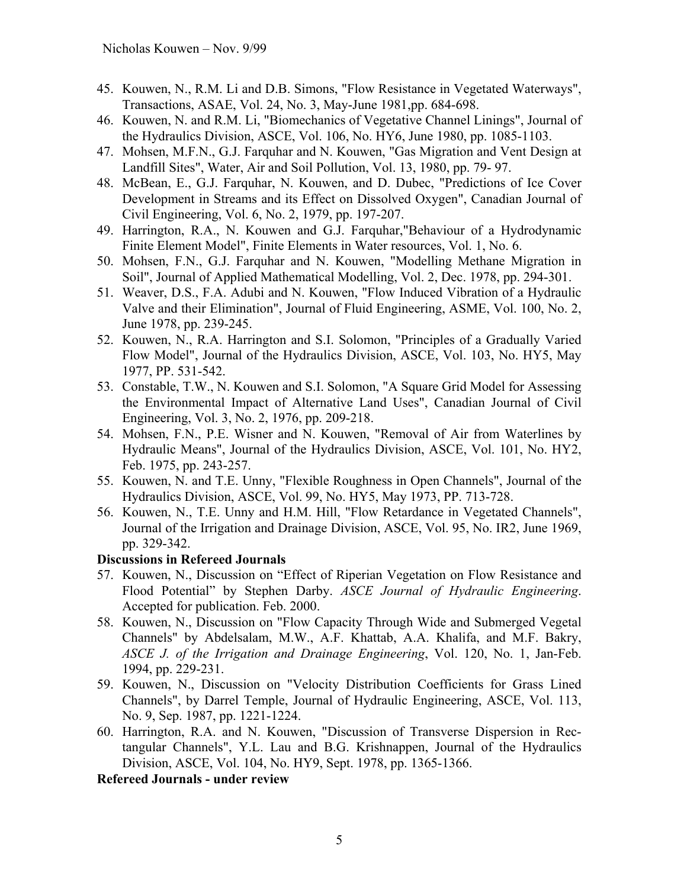- 45. Kouwen, N., R.M. Li and D.B. Simons, "Flow Resistance in Vegetated Waterways", Transactions, ASAE, Vol. 24, No. 3, May-June 1981,pp. 684-698.
- 46. Kouwen, N. and R.M. Li, "Biomechanics of Vegetative Channel Linings", Journal of the Hydraulics Division, ASCE, Vol. 106, No. HY6, June 1980, pp. 1085-1103.
- 47. Mohsen, M.F.N., G.J. Farquhar and N. Kouwen, "Gas Migration and Vent Design at Landfill Sites", Water, Air and Soil Pollution, Vol. 13, 1980, pp. 79- 97.
- 48. McBean, E., G.J. Farquhar, N. Kouwen, and D. Dubec, "Predictions of Ice Cover Development in Streams and its Effect on Dissolved Oxygen", Canadian Journal of Civil Engineering, Vol. 6, No. 2, 1979, pp. 197-207.
- 49. Harrington, R.A., N. Kouwen and G.J. Farquhar,"Behaviour of a Hydrodynamic Finite Element Model", Finite Elements in Water resources, Vol. 1, No. 6.
- 50. Mohsen, F.N., G.J. Farquhar and N. Kouwen, "Modelling Methane Migration in Soil", Journal of Applied Mathematical Modelling, Vol. 2, Dec. 1978, pp. 294-301.
- 51. Weaver, D.S., F.A. Adubi and N. Kouwen, "Flow Induced Vibration of a Hydraulic Valve and their Elimination", Journal of Fluid Engineering, ASME, Vol. 100, No. 2, June 1978, pp. 239-245.
- 52. Kouwen, N., R.A. Harrington and S.I. Solomon, "Principles of a Gradually Varied Flow Model", Journal of the Hydraulics Division, ASCE, Vol. 103, No. HY5, May 1977, PP. 531-542.
- 53. Constable, T.W., N. Kouwen and S.I. Solomon, "A Square Grid Model for Assessing the Environmental Impact of Alternative Land Uses", Canadian Journal of Civil Engineering, Vol. 3, No. 2, 1976, pp. 209-218.
- 54. Mohsen, F.N., P.E. Wisner and N. Kouwen, "Removal of Air from Waterlines by Hydraulic Means", Journal of the Hydraulics Division, ASCE, Vol. 101, No. HY2, Feb. 1975, pp. 243-257.
- 55. Kouwen, N. and T.E. Unny, "Flexible Roughness in Open Channels", Journal of the Hydraulics Division, ASCE, Vol. 99, No. HY5, May 1973, PP. 713-728.
- 56. Kouwen, N., T.E. Unny and H.M. Hill, "Flow Retardance in Vegetated Channels", Journal of the Irrigation and Drainage Division, ASCE, Vol. 95, No. IR2, June 1969, pp. 329-342.

## **Discussions in Refereed Journals**

- 57. Kouwen, N., Discussion on "Effect of Riperian Vegetation on Flow Resistance and Flood Potential" by Stephen Darby. *ASCE Journal of Hydraulic Engineering*. Accepted for publication. Feb. 2000.
- 58. Kouwen, N., Discussion on "Flow Capacity Through Wide and Submerged Vegetal Channels" by Abdelsalam, M.W., A.F. Khattab, A.A. Khalifa, and M.F. Bakry, *ASCE J. of the Irrigation and Drainage Engineering*, Vol. 120, No. 1, Jan-Feb. 1994, pp. 229-231.
- 59. Kouwen, N., Discussion on "Velocity Distribution Coefficients for Grass Lined Channels", by Darrel Temple, Journal of Hydraulic Engineering, ASCE, Vol. 113, No. 9, Sep. 1987, pp. 1221-1224.
- 60. Harrington, R.A. and N. Kouwen, "Discussion of Transverse Dispersion in Rectangular Channels", Y.L. Lau and B.G. Krishnappen, Journal of the Hydraulics Division, ASCE, Vol. 104, No. HY9, Sept. 1978, pp. 1365-1366.

**Refereed Journals - under review**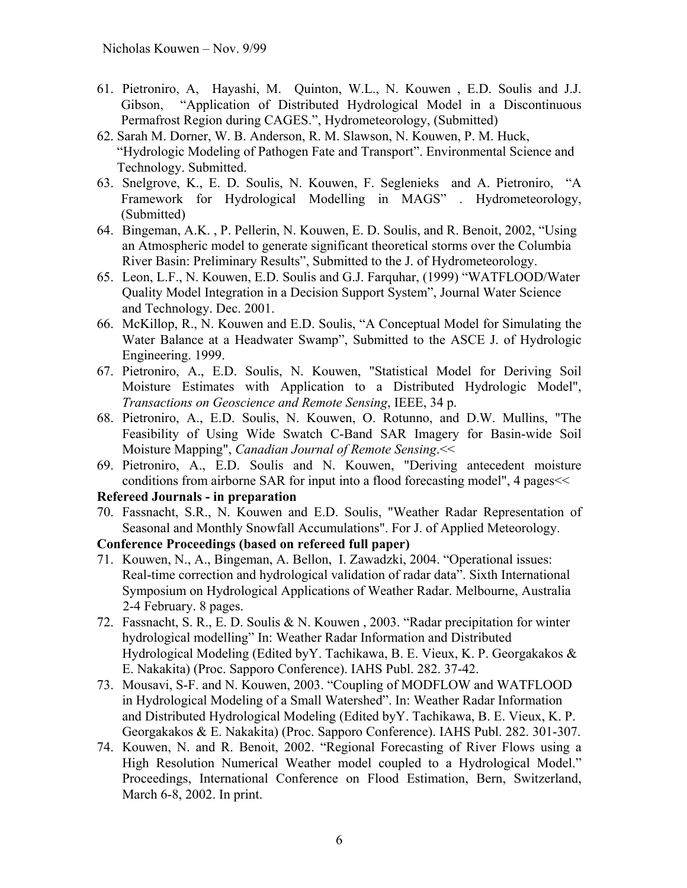- 61. Pietroniro, A, Hayashi, M. Quinton, W.L., N. Kouwen , E.D. Soulis and J.J. Gibson, "Application of Distributed Hydrological Model in a Discontinuous Permafrost Region during CAGES.", Hydrometeorology, (Submitted)
- 62. Sarah M. Dorner, W. B. Anderson, R. M. Slawson, N. Kouwen, P. M. Huck, "Hydrologic Modeling of Pathogen Fate and Transport". Environmental Science and Technology. Submitted.
- 63. Snelgrove, K., E. D. Soulis, N. Kouwen, F. Seglenieks and A. Pietroniro, "A Framework for Hydrological Modelling in MAGS" . Hydrometeorology, (Submitted)
- 64. Bingeman, A.K. , P. Pellerin, N. Kouwen, E. D. Soulis, and R. Benoit, 2002, "Using an Atmospheric model to generate significant theoretical storms over the Columbia River Basin: Preliminary Results", Submitted to the J. of Hydrometeorology.
- 65. Leon, L.F., N. Kouwen, E.D. Soulis and G.J. Farquhar, (1999) "WATFLOOD/Water Quality Model Integration in a Decision Support System", Journal Water Science and Technology. Dec. 2001.
- 66. McKillop, R., N. Kouwen and E.D. Soulis, "A Conceptual Model for Simulating the Water Balance at a Headwater Swamp", Submitted to the ASCE J. of Hydrologic Engineering. 1999.
- 67. Pietroniro, A., E.D. Soulis, N. Kouwen, "Statistical Model for Deriving Soil Moisture Estimates with Application to a Distributed Hydrologic Model", *Transactions on Geoscience and Remote Sensing*, IEEE, 34 p.
- 68. Pietroniro, A., E.D. Soulis, N. Kouwen, O. Rotunno, and D.W. Mullins, "The Feasibility of Using Wide Swatch C-Band SAR Imagery for Basin-wide Soil Moisture Mapping", *Canadian Journal of Remote Sensing*.<<
- 69. Pietroniro, A., E.D. Soulis and N. Kouwen, "Deriving antecedent moisture conditions from airborne SAR for input into a flood forecasting model", 4 pages<<

## **Refereed Journals - in preparation**

70. Fassnacht, S.R., N. Kouwen and E.D. Soulis, "Weather Radar Representation of Seasonal and Monthly Snowfall Accumulations". For J. of Applied Meteorology.

# **Conference Proceedings (based on refereed full paper)**

- 71. Kouwen, N., A., Bingeman, A. Bellon, I. Zawadzki, 2004. "Operational issues: Real-time correction and hydrological validation of radar data". Sixth International Symposium on Hydrological Applications of Weather Radar. Melbourne, Australia 2-4 February. 8 pages.
- 72. Fassnacht, S. R., E. D. Soulis & N. Kouwen , 2003. "Radar precipitation for winter hydrological modelling" In: Weather Radar Information and Distributed Hydrological Modeling (Edited byY. Tachikawa, B. E. Vieux, K. P. Georgakakos & E. Nakakita) (Proc. Sapporo Conference). IAHS Publ. 282. 37-42.
- 73. Mousavi, S-F. and N. Kouwen, 2003. "Coupling of MODFLOW and WATFLOOD in Hydrological Modeling of a Small Watershed". In: Weather Radar Information and Distributed Hydrological Modeling (Edited byY. Tachikawa, B. E. Vieux, K. P. Georgakakos & E. Nakakita) (Proc. Sapporo Conference). IAHS Publ. 282. 301-307.
- 74. Kouwen, N. and R. Benoit, 2002. "Regional Forecasting of River Flows using a High Resolution Numerical Weather model coupled to a Hydrological Model." Proceedings, International Conference on Flood Estimation, Bern, Switzerland, March 6-8, 2002. In print.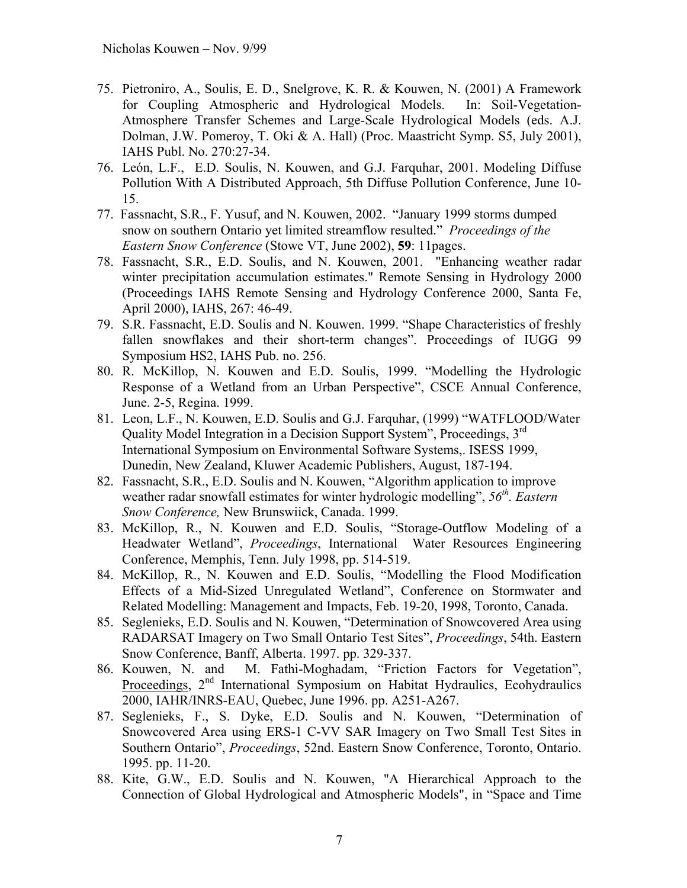- 75. Pietroniro, A., Soulis, E. D., Snelgrove, K. R. & Kouwen, N. (2001) A Framework for Coupling Atmospheric and Hydrological Models. In: Soil-Vegetation-Atmosphere Transfer Schemes and Large-Scale Hydrological Models (eds. A.J. Dolman, J.W. Pomeroy, T. Oki & A. Hall) (Proc. Maastricht Symp. S5, July 2001), IAHS Publ. No. 270:27-34.
- 76. León, L.F., E.D. Soulis, N. Kouwen, and G.J. Farquhar, 2001. Modeling Diffuse Pollution With A Distributed Approach, 5th Diffuse Pollution Conference, June 10- 15.
- 77. Fassnacht, S.R., F. Yusuf, and N. Kouwen, 2002. "January 1999 storms dumped snow on southern Ontario yet limited streamflow resulted." *Proceedings of the Eastern Snow Conference* (Stowe VT, June 2002), **59**: 11pages.
- 78. Fassnacht, S.R., E.D. Soulis, and N. Kouwen, 2001. "Enhancing weather radar winter precipitation accumulation estimates." Remote Sensing in Hydrology 2000 (Proceedings IAHS Remote Sensing and Hydrology Conference 2000, Santa Fe, April 2000), IAHS, 267: 46-49.
- 79. S.R. Fassnacht, E.D. Soulis and N. Kouwen. 1999. "Shape Characteristics of freshly fallen snowflakes and their short-term changes". Proceedings of IUGG 99 Symposium HS2, IAHS Pub. no. 256.
- 80. R. McKillop, N. Kouwen and E.D. Soulis, 1999. "Modelling the Hydrologic Response of a Wetland from an Urban Perspective", CSCE Annual Conference, June. 2-5, Regina. 1999.
- 81. Leon, L.F., N. Kouwen, E.D. Soulis and G.J. Farquhar, (1999) "WATFLOOD/Water Quality Model Integration in a Decision Support System", Proceedings, 3rd International Symposium on Environmental Software Systems,. ISESS 1999, Dunedin, New Zealand, Kluwer Academic Publishers, August, 187-194.
- 82. Fassnacht, S.R., E.D. Soulis and N. Kouwen, "Algorithm application to improve weather radar snowfall estimates for winter hydrologic modelling",  $56<sup>th</sup>$ . Eastern *Snow Conference,* New Brunswiick, Canada. 1999.
- 83. McKillop, R., N. Kouwen and E.D. Soulis, "Storage-Outflow Modeling of a Headwater Wetland", *Proceedings*, International Water Resources Engineering Conference, Memphis, Tenn. July 1998, pp. 514-519.
- 84. McKillop, R., N. Kouwen and E.D. Soulis, "Modelling the Flood Modification Effects of a Mid-Sized Unregulated Wetland", Conference on Stormwater and Related Modelling: Management and Impacts, Feb. 19-20, 1998, Toronto, Canada.
- 85. Seglenieks, E.D. Soulis and N. Kouwen, "Determination of Snowcovered Area using RADARSAT Imagery on Two Small Ontario Test Sites", *Proceedings*, 54th. Eastern Snow Conference, Banff, Alberta. 1997. pp. 329-337.
- 86. Kouwen, N. and M. Fathi-Moghadam, "Friction Factors for Vegetation", Proceedings, 2<sup>nd</sup> International Symposium on Habitat Hydraulics, Ecohydraulics 2000, IAHR/INRS-EAU, Quebec, June 1996. pp. A251-A267.
- 87. Seglenieks, F., S. Dyke, E.D. Soulis and N. Kouwen, "Determination of Snowcovered Area using ERS-1 C-VV SAR Imagery on Two Small Test Sites in Southern Ontario", *Proceedings*, 52nd. Eastern Snow Conference, Toronto, Ontario. 1995. pp. 11-20.
- 88. Kite, G.W., E.D. Soulis and N. Kouwen, "A Hierarchical Approach to the Connection of Global Hydrological and Atmospheric Models", in "Space and Time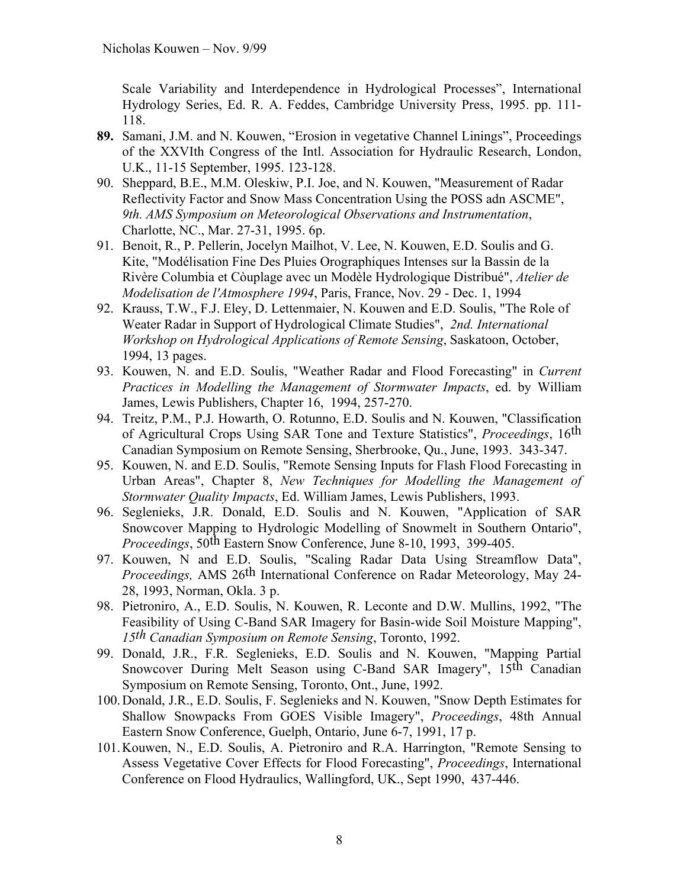Scale Variability and Interdependence in Hydrological Processes", International Hydrology Series, Ed. R. A. Feddes, Cambridge University Press, 1995. pp. 111- 118.

- **89.** Samani, J.M. and N. Kouwen, "Erosion in vegetative Channel Linings", Proceedings of the XXVIth Congress of the Intl. Association for Hydraulic Research, London, U.K., 11-15 September, 1995. 123-128.
- 90. Sheppard, B.E., M.M. Oleskiw, P.I. Joe, and N. Kouwen, "Measurement of Radar Reflectivity Factor and Snow Mass Concentration Using the POSS adn ASCME", *9th. AMS Symposium on Meteorological Observations and Instrumentation*, Charlotte, NC., Mar. 27-31, 1995. 6p.
- 91. Benoit, R., P. Pellerin, Jocelyn Mailhot, V. Lee, N. Kouwen, E.D. Soulis and G. Kite, "Modélisation Fine Des Pluies Orographiques Intenses sur la Bassin de la Rivère Columbia et Còuplage avec un Modèle Hydrologique Distribué", *Atelier de Modelisation de l'Atmosphere 1994*, Paris, France, Nov. 29 - Dec. 1, 1994
- 92. Krauss, T.W., F.J. Eley, D. Lettenmaier, N. Kouwen and E.D. Soulis, "The Role of Weater Radar in Support of Hydrological Climate Studies", *2nd. International Workshop on Hydrological Applications of Remote Sensing*, Saskatoon, October, 1994, 13 pages.
- 93. Kouwen, N. and E.D. Soulis, "Weather Radar and Flood Forecasting" in *Current Practices in Modelling the Management of Stormwater Impacts*, ed. by William James, Lewis Publishers, Chapter 16, 1994, 257-270.
- 94. Treitz, P.M., P.J. Howarth, O. Rotunno, E.D. Soulis and N. Kouwen, "Classification of Agricultural Crops Using SAR Tone and Texture Statistics", *Proceedings*, 16th Canadian Symposium on Remote Sensing, Sherbrooke, Qu., June, 1993. 343-347.
- 95. Kouwen, N. and E.D. Soulis, "Remote Sensing Inputs for Flash Flood Forecasting in Urban Areas", Chapter 8, *New Techniques for Modelling the Management of Stormwater Quality Impacts*, Ed. William James, Lewis Publishers, 1993.
- 96. Seglenieks, J.R. Donald, E.D. Soulis and N. Kouwen, "Application of SAR Snowcover Mapping to Hydrologic Modelling of Snowmelt in Southern Ontario", *Proceedings*, 50th Eastern Snow Conference, June 8-10, 1993, 399-405.
- 97. Kouwen, N and E.D. Soulis, "Scaling Radar Data Using Streamflow Data", *Proceedings,* AMS 26th International Conference on Radar Meteorology, May 24- 28, 1993, Norman, Okla. 3 p.
- 98. Pietroniro, A., E.D. Soulis, N. Kouwen, R. Leconte and D.W. Mullins, 1992, "The Feasibility of Using C-Band SAR Imagery for Basin-wide Soil Moisture Mapping", *15th Canadian Symposium on Remote Sensing*, Toronto, 1992.
- 99. Donald, J.R., F.R. Seglenieks, E.D. Soulis and N. Kouwen, "Mapping Partial Snowcover During Melt Season using C-Band SAR Imagery", 15th Canadian Symposium on Remote Sensing, Toronto, Ont., June, 1992.
- 100.Donald, J.R., E.D. Soulis, F. Seglenieks and N. Kouwen, "Snow Depth Estimates for Shallow Snowpacks From GOES Visible Imagery", *Proceedings*, 48th Annual Eastern Snow Conference, Guelph, Ontario, June 6-7, 1991, 17 p.
- 101.Kouwen, N., E.D. Soulis, A. Pietroniro and R.A. Harrington, "Remote Sensing to Assess Vegetative Cover Effects for Flood Forecasting", *Proceedings*, International Conference on Flood Hydraulics, Wallingford, UK., Sept 1990, 437-446.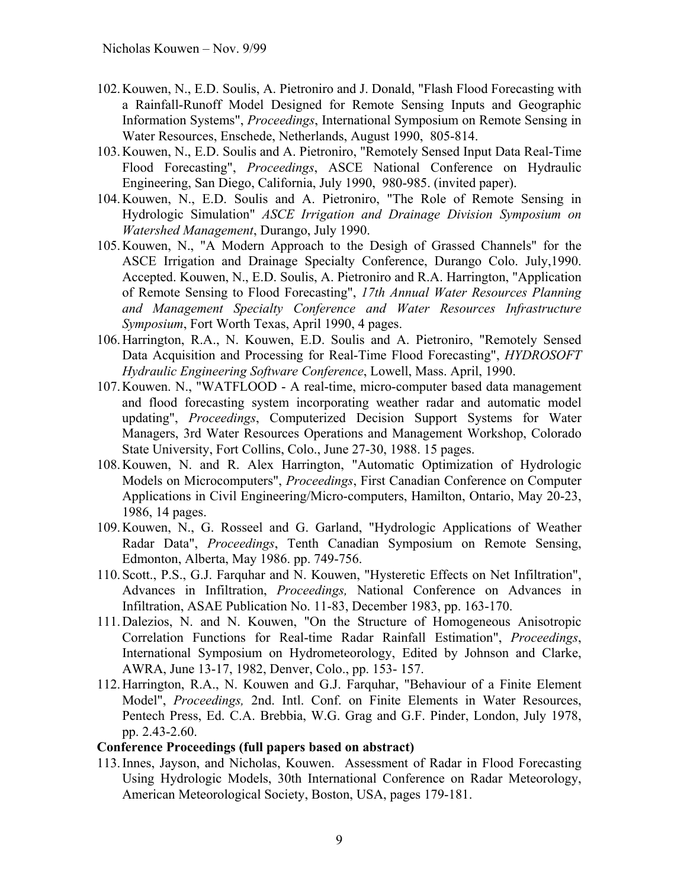- 102.Kouwen, N., E.D. Soulis, A. Pietroniro and J. Donald, "Flash Flood Forecasting with a Rainfall-Runoff Model Designed for Remote Sensing Inputs and Geographic Information Systems", *Proceedings*, International Symposium on Remote Sensing in Water Resources, Enschede, Netherlands, August 1990, 805-814.
- 103.Kouwen, N., E.D. Soulis and A. Pietroniro, "Remotely Sensed Input Data Real-Time Flood Forecasting", *Proceedings*, ASCE National Conference on Hydraulic Engineering, San Diego, California, July 1990, 980-985. (invited paper).
- 104.Kouwen, N., E.D. Soulis and A. Pietroniro, "The Role of Remote Sensing in Hydrologic Simulation" *ASCE Irrigation and Drainage Division Symposium on Watershed Management*, Durango, July 1990.
- 105.Kouwen, N., "A Modern Approach to the Desigh of Grassed Channels" for the ASCE Irrigation and Drainage Specialty Conference, Durango Colo. July,1990. Accepted. Kouwen, N., E.D. Soulis, A. Pietroniro and R.A. Harrington, "Application of Remote Sensing to Flood Forecasting", *17th Annual Water Resources Planning and Management Specialty Conference and Water Resources Infrastructure Symposium*, Fort Worth Texas, April 1990, 4 pages.
- 106.Harrington, R.A., N. Kouwen, E.D. Soulis and A. Pietroniro, "Remotely Sensed Data Acquisition and Processing for Real-Time Flood Forecasting", *HYDROSOFT Hydraulic Engineering Software Conference*, Lowell, Mass. April, 1990.
- 107.Kouwen. N., "WATFLOOD A real-time, micro-computer based data management and flood forecasting system incorporating weather radar and automatic model updating", *Proceedings*, Computerized Decision Support Systems for Water Managers, 3rd Water Resources Operations and Management Workshop, Colorado State University, Fort Collins, Colo., June 27-30, 1988. 15 pages.
- 108.Kouwen, N. and R. Alex Harrington, "Automatic Optimization of Hydrologic Models on Microcomputers", *Proceedings*, First Canadian Conference on Computer Applications in Civil Engineering/Micro-computers, Hamilton, Ontario, May 20-23, 1986, 14 pages.
- 109.Kouwen, N., G. Rosseel and G. Garland, "Hydrologic Applications of Weather Radar Data", *Proceedings*, Tenth Canadian Symposium on Remote Sensing, Edmonton, Alberta, May 1986. pp. 749-756.
- 110.Scott., P.S., G.J. Farquhar and N. Kouwen, "Hysteretic Effects on Net Infiltration", Advances in Infiltration, *Proceedings,* National Conference on Advances in Infiltration, ASAE Publication No. 11-83, December 1983, pp. 163-170.
- 111.Dalezios, N. and N. Kouwen, "On the Structure of Homogeneous Anisotropic Correlation Functions for Real-time Radar Rainfall Estimation", *Proceedings*, International Symposium on Hydrometeorology, Edited by Johnson and Clarke, AWRA, June 13-17, 1982, Denver, Colo., pp. 153- 157.
- 112.Harrington, R.A., N. Kouwen and G.J. Farquhar, "Behaviour of a Finite Element Model", *Proceedings,* 2nd. Intl. Conf. on Finite Elements in Water Resources, Pentech Press, Ed. C.A. Brebbia, W.G. Grag and G.F. Pinder, London, July 1978, pp. 2.43-2.60.

#### **Conference Proceedings (full papers based on abstract)**

113.Innes, Jayson, and Nicholas, Kouwen. Assessment of Radar in Flood Forecasting Using Hydrologic Models, 30th International Conference on Radar Meteorology, American Meteorological Society, Boston, USA, pages 179-181.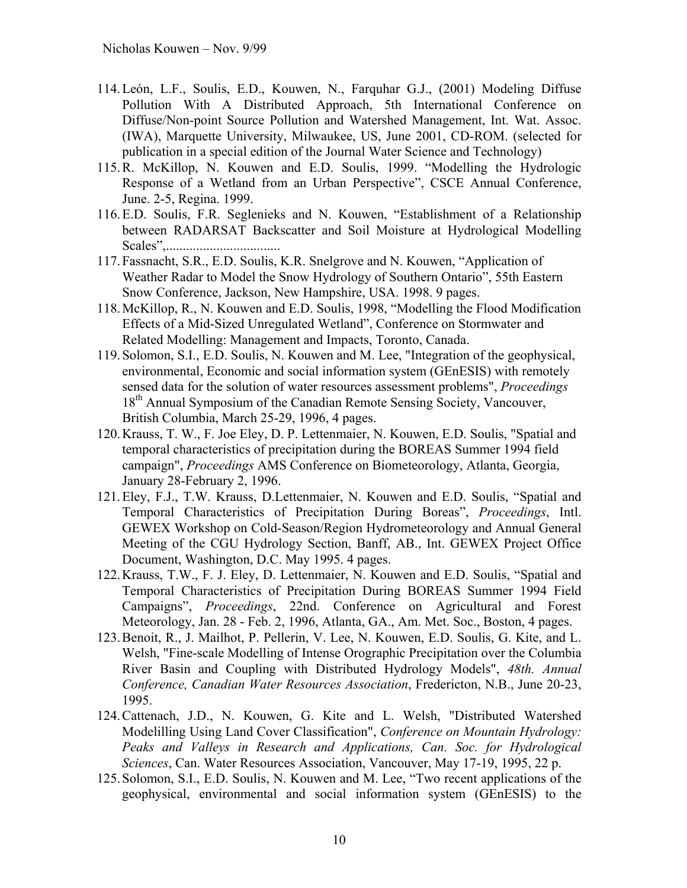- 114.León, L.F., Soulis, E.D., Kouwen, N., Farquhar G.J., (2001) Modeling Diffuse Pollution With A Distributed Approach, 5th International Conference on Diffuse/Non-point Source Pollution and Watershed Management, Int. Wat. Assoc. (IWA), Marquette University, Milwaukee, US, June 2001, CD-ROM. (selected for publication in a special edition of the Journal Water Science and Technology)
- 115.R. McKillop, N. Kouwen and E.D. Soulis, 1999. "Modelling the Hydrologic Response of a Wetland from an Urban Perspective", CSCE Annual Conference, June. 2-5, Regina. 1999.
- 116.E.D. Soulis, F.R. Seglenieks and N. Kouwen, "Establishment of a Relationship between RADARSAT Backscatter and Soil Moisture at Hydrological Modelling Scales",..................................
- 117.Fassnacht, S.R., E.D. Soulis, K.R. Snelgrove and N. Kouwen, "Application of Weather Radar to Model the Snow Hydrology of Southern Ontario", 55th Eastern Snow Conference, Jackson, New Hampshire, USA. 1998. 9 pages.
- 118.McKillop, R., N. Kouwen and E.D. Soulis, 1998, "Modelling the Flood Modification Effects of a Mid-Sized Unregulated Wetland", Conference on Stormwater and Related Modelling: Management and Impacts, Toronto, Canada.
- 119.Solomon, S.I., E.D. Soulis, N. Kouwen and M. Lee, "Integration of the geophysical, environmental, Economic and social information system (GEnESIS) with remotely sensed data for the solution of water resources assessment problems", *Proceedings* 18<sup>th</sup> Annual Symposium of the Canadian Remote Sensing Society, Vancouver, British Columbia, March 25-29, 1996, 4 pages.
- 120.Krauss, T. W., F. Joe Eley, D. P. Lettenmaier, N. Kouwen, E.D. Soulis, "Spatial and temporal characteristics of precipitation during the BOREAS Summer 1994 field campaign", *Proceedings* AMS Conference on Biometeorology, Atlanta, Georgia, January 28-February 2, 1996.
- 121.Eley, F.J., T.W. Krauss, D.Lettenmaier, N. Kouwen and E.D. Soulis, "Spatial and Temporal Characteristics of Precipitation During Boreas", *Proceedings*, Intl. GEWEX Workshop on Cold-Season/Region Hydrometeorology and Annual General Meeting of the CGU Hydrology Section, Banff, AB., Int. GEWEX Project Office Document, Washington, D.C. May 1995. 4 pages.
- 122.Krauss, T.W., F. J. Eley, D. Lettenmaier, N. Kouwen and E.D. Soulis, "Spatial and Temporal Characteristics of Precipitation During BOREAS Summer 1994 Field Campaigns", *Proceedings*, 22nd. Conference on Agricultural and Forest Meteorology, Jan. 28 - Feb. 2, 1996, Atlanta, GA., Am. Met. Soc., Boston, 4 pages.
- 123.Benoit, R., J. Mailhot, P. Pellerin, V. Lee, N. Kouwen, E.D. Soulis, G. Kite, and L. Welsh, "Fine-scale Modelling of Intense Orographic Precipitation over the Columbia River Basin and Coupling with Distributed Hydrology Models", *48th. Annual Conference, Canadian Water Resources Association*, Fredericton, N.B., June 20-23, 1995.
- 124.Cattenach, J.D., N. Kouwen, G. Kite and L. Welsh, "Distributed Watershed Modelilling Using Land Cover Classification", *Conference on Mountain Hydrology: Peaks and Valleys in Research and Applications, Can. Soc. for Hydrological Sciences*, Can. Water Resources Association, Vancouver, May 17-19, 1995, 22 p.
- 125.Solomon, S.I., E.D. Soulis, N. Kouwen and M. Lee, "Two recent applications of the geophysical, environmental and social information system (GEnESIS) to the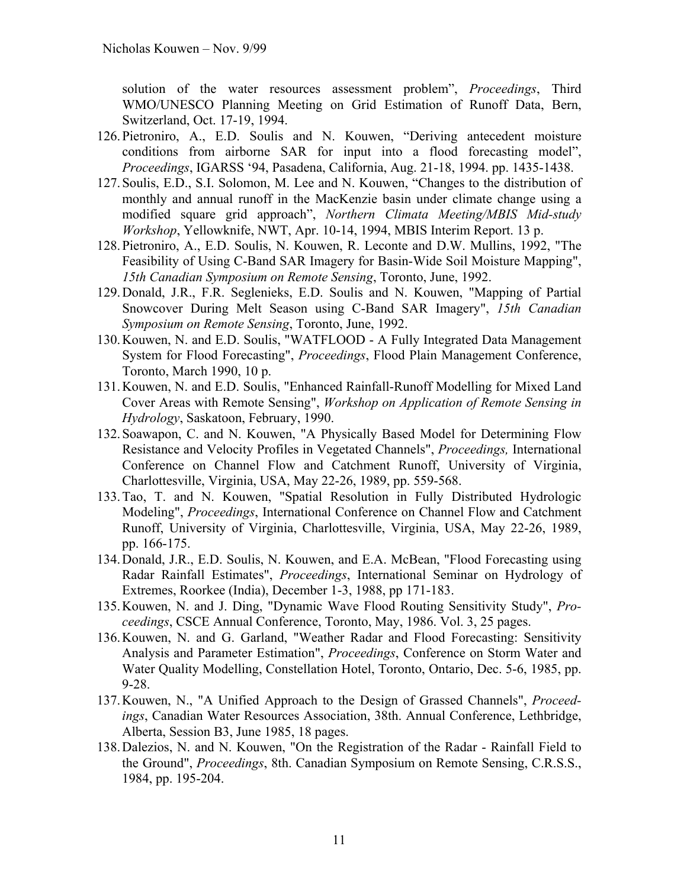solution of the water resources assessment problem", *Proceedings*, Third WMO/UNESCO Planning Meeting on Grid Estimation of Runoff Data, Bern, Switzerland, Oct. 17-19, 1994.

- 126.Pietroniro, A., E.D. Soulis and N. Kouwen, "Deriving antecedent moisture conditions from airborne SAR for input into a flood forecasting model", *Proceedings*, IGARSS '94, Pasadena, California, Aug. 21-18, 1994. pp. 1435-1438.
- 127.Soulis, E.D., S.I. Solomon, M. Lee and N. Kouwen, "Changes to the distribution of monthly and annual runoff in the MacKenzie basin under climate change using a modified square grid approach", *Northern Climata Meeting/MBIS Mid-study Workshop*, Yellowknife, NWT, Apr. 10-14, 1994, MBIS Interim Report. 13 p.
- 128.Pietroniro, A., E.D. Soulis, N. Kouwen, R. Leconte and D.W. Mullins, 1992, "The Feasibility of Using C-Band SAR Imagery for Basin-Wide Soil Moisture Mapping", *15th Canadian Symposium on Remote Sensing*, Toronto, June, 1992.
- 129.Donald, J.R., F.R. Seglenieks, E.D. Soulis and N. Kouwen, "Mapping of Partial Snowcover During Melt Season using C-Band SAR Imagery", *15th Canadian Symposium on Remote Sensing*, Toronto, June, 1992.
- 130.Kouwen, N. and E.D. Soulis, "WATFLOOD A Fully Integrated Data Management System for Flood Forecasting", *Proceedings*, Flood Plain Management Conference, Toronto, March 1990, 10 p.
- 131.Kouwen, N. and E.D. Soulis, "Enhanced Rainfall-Runoff Modelling for Mixed Land Cover Areas with Remote Sensing", *Workshop on Application of Remote Sensing in Hydrology*, Saskatoon, February, 1990.
- 132.Soawapon, C. and N. Kouwen, "A Physically Based Model for Determining Flow Resistance and Velocity Profiles in Vegetated Channels", *Proceedings,* International Conference on Channel Flow and Catchment Runoff, University of Virginia, Charlottesville, Virginia, USA, May 22-26, 1989, pp. 559-568.
- 133.Tao, T. and N. Kouwen, "Spatial Resolution in Fully Distributed Hydrologic Modeling", *Proceedings*, International Conference on Channel Flow and Catchment Runoff, University of Virginia, Charlottesville, Virginia, USA, May 22-26, 1989, pp. 166-175.
- 134.Donald, J.R., E.D. Soulis, N. Kouwen, and E.A. McBean, "Flood Forecasting using Radar Rainfall Estimates", *Proceedings*, International Seminar on Hydrology of Extremes, Roorkee (India), December 1-3, 1988, pp 171-183.
- 135.Kouwen, N. and J. Ding, "Dynamic Wave Flood Routing Sensitivity Study", *Proceedings*, CSCE Annual Conference, Toronto, May, 1986. Vol. 3, 25 pages.
- 136.Kouwen, N. and G. Garland, "Weather Radar and Flood Forecasting: Sensitivity Analysis and Parameter Estimation", *Proceedings*, Conference on Storm Water and Water Quality Modelling, Constellation Hotel, Toronto, Ontario, Dec. 5-6, 1985, pp. 9-28.
- 137.Kouwen, N., "A Unified Approach to the Design of Grassed Channels", *Proceedings*, Canadian Water Resources Association, 38th. Annual Conference, Lethbridge, Alberta, Session B3, June 1985, 18 pages.
- 138.Dalezios, N. and N. Kouwen, "On the Registration of the Radar Rainfall Field to the Ground", *Proceedings*, 8th. Canadian Symposium on Remote Sensing, C.R.S.S., 1984, pp. 195-204.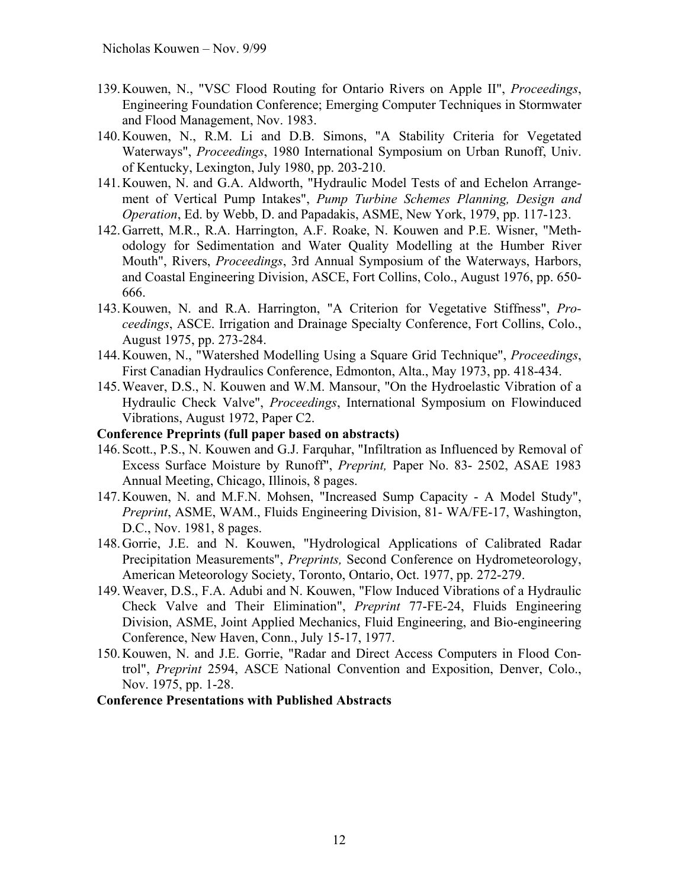- 139.Kouwen, N., "VSC Flood Routing for Ontario Rivers on Apple II", *Proceedings*, Engineering Foundation Conference; Emerging Computer Techniques in Stormwater and Flood Management, Nov. 1983.
- 140.Kouwen, N., R.M. Li and D.B. Simons, "A Stability Criteria for Vegetated Waterways", *Proceedings*, 1980 International Symposium on Urban Runoff, Univ. of Kentucky, Lexington, July 1980, pp. 203-210.
- 141.Kouwen, N. and G.A. Aldworth, "Hydraulic Model Tests of and Echelon Arrangement of Vertical Pump Intakes", *Pump Turbine Schemes Planning, Design and Operation*, Ed. by Webb, D. and Papadakis, ASME, New York, 1979, pp. 117-123.
- 142.Garrett, M.R., R.A. Harrington, A.F. Roake, N. Kouwen and P.E. Wisner, "Methodology for Sedimentation and Water Quality Modelling at the Humber River Mouth", Rivers, *Proceedings*, 3rd Annual Symposium of the Waterways, Harbors, and Coastal Engineering Division, ASCE, Fort Collins, Colo., August 1976, pp. 650- 666.
- 143.Kouwen, N. and R.A. Harrington, "A Criterion for Vegetative Stiffness", *Proceedings*, ASCE. Irrigation and Drainage Specialty Conference, Fort Collins, Colo., August 1975, pp. 273-284.
- 144.Kouwen, N., "Watershed Modelling Using a Square Grid Technique", *Proceedings*, First Canadian Hydraulics Conference, Edmonton, Alta., May 1973, pp. 418-434.
- 145.Weaver, D.S., N. Kouwen and W.M. Mansour, "On the Hydroelastic Vibration of a Hydraulic Check Valve", *Proceedings*, International Symposium on Flowinduced Vibrations, August 1972, Paper C2.

## **Conference Preprints (full paper based on abstracts)**

- 146.Scott., P.S., N. Kouwen and G.J. Farquhar, "Infiltration as Influenced by Removal of Excess Surface Moisture by Runoff", *Preprint,* Paper No. 83- 2502, ASAE 1983 Annual Meeting, Chicago, Illinois, 8 pages.
- 147.Kouwen, N. and M.F.N. Mohsen, "Increased Sump Capacity A Model Study", *Preprint*, ASME, WAM., Fluids Engineering Division, 81- WA/FE-17, Washington, D.C., Nov. 1981, 8 pages.
- 148.Gorrie, J.E. and N. Kouwen, "Hydrological Applications of Calibrated Radar Precipitation Measurements", *Preprints,* Second Conference on Hydrometeorology, American Meteorology Society, Toronto, Ontario, Oct. 1977, pp. 272-279.
- 149.Weaver, D.S., F.A. Adubi and N. Kouwen, "Flow Induced Vibrations of a Hydraulic Check Valve and Their Elimination", *Preprint* 77-FE-24, Fluids Engineering Division, ASME, Joint Applied Mechanics, Fluid Engineering, and Bio-engineering Conference, New Haven, Conn., July 15-17, 1977.
- 150.Kouwen, N. and J.E. Gorrie, "Radar and Direct Access Computers in Flood Control", *Preprint* 2594, ASCE National Convention and Exposition, Denver, Colo., Nov. 1975, pp. 1-28.

#### **Conference Presentations with Published Abstracts**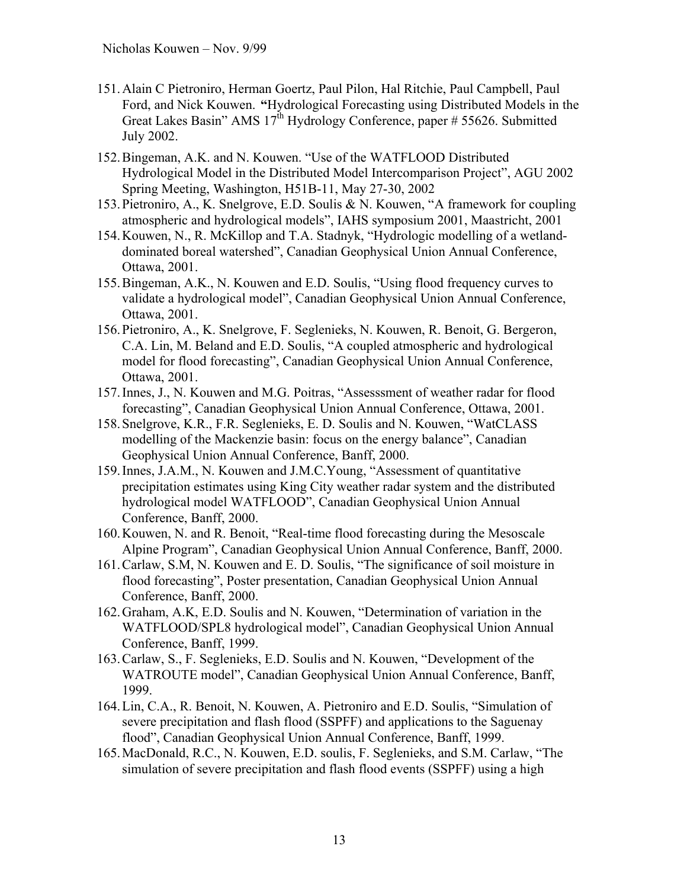- 151.Alain C Pietroniro, Herman Goertz, Paul Pilon, Hal Ritchie, Paul Campbell, Paul Ford, and Nick Kouwen. **"**Hydrological Forecasting using Distributed Models in the Great Lakes Basin" AMS 17<sup>th</sup> Hydrology Conference, paper # 55626. Submitted July 2002.
- 152.Bingeman, A.K. and N. Kouwen. "Use of the WATFLOOD Distributed Hydrological Model in the Distributed Model Intercomparison Project", AGU 2002 Spring Meeting, Washington, H51B-11, May 27-30, 2002
- 153.Pietroniro, A., K. Snelgrove, E.D. Soulis & N. Kouwen, " A framework for coupling atmospheric and hydrological models", IAHS symposium 2001, Maastricht, 2001
- 154.Kouwen, N., R. McKillop and T.A. Stadnyk, "Hydrologic modelling of a wetlanddominated boreal watershed", Canadian Geophysical Union Annual Conference, Ottawa, 2001.
- 155.Bingeman, A.K., N. Kouwen and E.D. Soulis, "Using flood frequency curves to validate a hydrological model", Canadian Geophysical Union Annual Conference, Ottawa, 2001.
- 156.Pietroniro, A., K. Snelgrove, F. Seglenieks, N. Kouwen, R. Benoit, G. Bergeron, C.A. Lin, M. Beland and E.D. Soulis, "A coupled atmospheric and hydrological model for flood forecasting", Canadian Geophysical Union Annual Conference, Ottawa, 2001.
- 157.Innes, J., N. Kouwen and M.G. Poitras, "Assesssment of weather radar for flood forecasting", Canadian Geophysical Union Annual Conference, Ottawa, 2001.
- 158.Snelgrove, K.R., F.R. Seglenieks, E. D. Soulis and N. Kouwen, "WatCLASS modelling of the Mackenzie basin: focus on the energy balance", Canadian Geophysical Union Annual Conference, Banff, 2000.
- 159.Innes, J.A.M., N. Kouwen and J.M.C.Young, "Assessment of quantitative precipitation estimates using King City weather radar system and the distributed hydrological model WATFLOOD", Canadian Geophysical Union Annual Conference, Banff, 2000.
- 160.Kouwen, N. and R. Benoit, "Real-time flood forecasting during the Mesoscale Alpine Program", Canadian Geophysical Union Annual Conference, Banff, 2000.
- 161.Carlaw, S.M, N. Kouwen and E. D. Soulis, "The significance of soil moisture in flood forecasting", Poster presentation, Canadian Geophysical Union Annual Conference, Banff, 2000.
- 162.Graham, A.K, E.D. Soulis and N. Kouwen, "Determination of variation in the WATFLOOD/SPL8 hydrological model", Canadian Geophysical Union Annual Conference, Banff, 1999.
- 163.Carlaw, S., F. Seglenieks, E.D. Soulis and N. Kouwen, "Development of the WATROUTE model", Canadian Geophysical Union Annual Conference, Banff, 1999.
- 164.Lin, C.A., R. Benoit, N. Kouwen, A. Pietroniro and E.D. Soulis, "Simulation of severe precipitation and flash flood (SSPFF) and applications to the Saguenay flood", Canadian Geophysical Union Annual Conference, Banff, 1999.
- 165.MacDonald, R.C., N. Kouwen, E.D. soulis, F. Seglenieks, and S.M. Carlaw, "The simulation of severe precipitation and flash flood events (SSPFF) using a high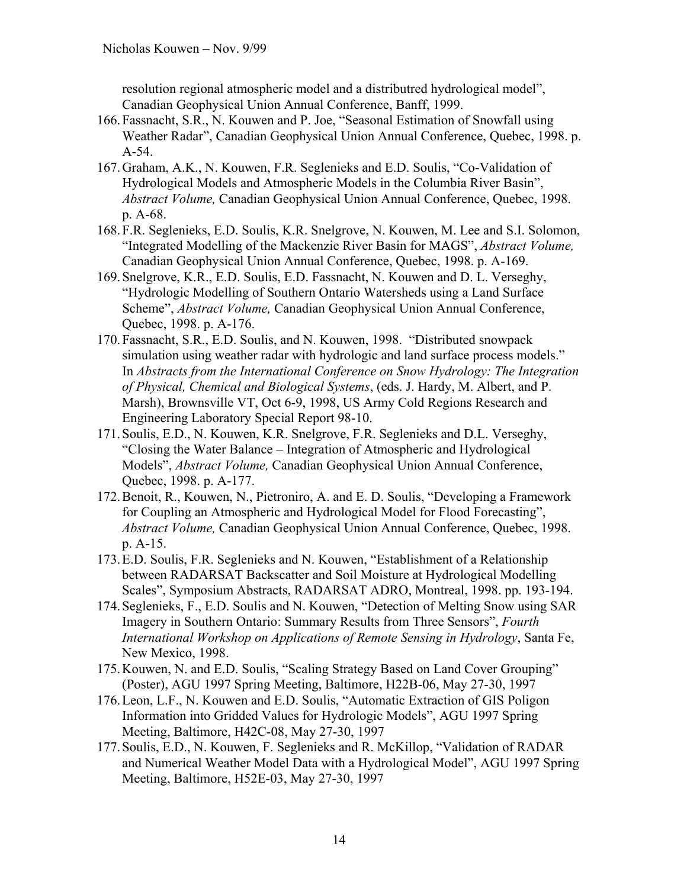resolution regional atmospheric model and a distributred hydrological model", Canadian Geophysical Union Annual Conference, Banff, 1999.

- 166.Fassnacht, S.R., N. Kouwen and P. Joe, "Seasonal Estimation of Snowfall using Weather Radar", Canadian Geophysical Union Annual Conference, Quebec, 1998. p. A-54.
- 167.Graham, A.K., N. Kouwen, F.R. Seglenieks and E.D. Soulis, "Co-Validation of Hydrological Models and Atmospheric Models in the Columbia River Basin", *Abstract Volume,* Canadian Geophysical Union Annual Conference, Quebec, 1998. p. A-68.
- 168.F.R. Seglenieks, E.D. Soulis, K.R. Snelgrove, N. Kouwen, M. Lee and S.I. Solomon, "Integrated Modelling of the Mackenzie River Basin for MAGS", *Abstract Volume,* Canadian Geophysical Union Annual Conference, Quebec, 1998. p. A-169.
- 169.Snelgrove, K.R., E.D. Soulis, E.D. Fassnacht, N. Kouwen and D. L. Verseghy, "Hydrologic Modelling of Southern Ontario Watersheds using a Land Surface Scheme", *Abstract Volume,* Canadian Geophysical Union Annual Conference, Quebec, 1998. p. A-176.
- 170.Fassnacht, S.R., E.D. Soulis, and N. Kouwen, 1998. "Distributed snowpack simulation using weather radar with hydrologic and land surface process models." In *Abstracts from the International Conference on Snow Hydrology: The Integration of Physical, Chemical and Biological Systems*, (eds. J. Hardy, M. Albert, and P. Marsh), Brownsville VT, Oct 6-9, 1998, US Army Cold Regions Research and Engineering Laboratory Special Report 98-10.
- 171.Soulis, E.D., N. Kouwen, K.R. Snelgrove, F.R. Seglenieks and D.L. Verseghy, "Closing the Water Balance – Integration of Atmospheric and Hydrological Models", *Abstract Volume,* Canadian Geophysical Union Annual Conference, Quebec, 1998. p. A-177.
- 172.Benoit, R., Kouwen, N., Pietroniro, A. and E. D. Soulis, "Developing a Framework for Coupling an Atmospheric and Hydrological Model for Flood Forecasting", *Abstract Volume,* Canadian Geophysical Union Annual Conference, Quebec, 1998. p. A-15.
- 173.E.D. Soulis, F.R. Seglenieks and N. Kouwen, "Establishment of a Relationship between RADARSAT Backscatter and Soil Moisture at Hydrological Modelling Scales", Symposium Abstracts, RADARSAT ADRO, Montreal, 1998. pp. 193-194.
- 174.Seglenieks, F., E.D. Soulis and N. Kouwen, "Detection of Melting Snow using SAR Imagery in Southern Ontario: Summary Results from Three Sensors", *Fourth International Workshop on Applications of Remote Sensing in Hydrology*, Santa Fe, New Mexico, 1998.
- 175.Kouwen, N. and E.D. Soulis, "Scaling Strategy Based on Land Cover Grouping" (Poster), AGU 1997 Spring Meeting, Baltimore, H22B-06, May 27-30, 1997
- 176.Leon, L.F., N. Kouwen and E.D. Soulis, "Automatic Extraction of GIS Poligon Information into Gridded Values for Hydrologic Models", AGU 1997 Spring Meeting, Baltimore, H42C-08, May 27-30, 1997
- 177.Soulis, E.D., N. Kouwen, F. Seglenieks and R. McKillop, "Validation of RADAR and Numerical Weather Model Data with a Hydrological Model", AGU 1997 Spring Meeting, Baltimore, H52E-03, May 27-30, 1997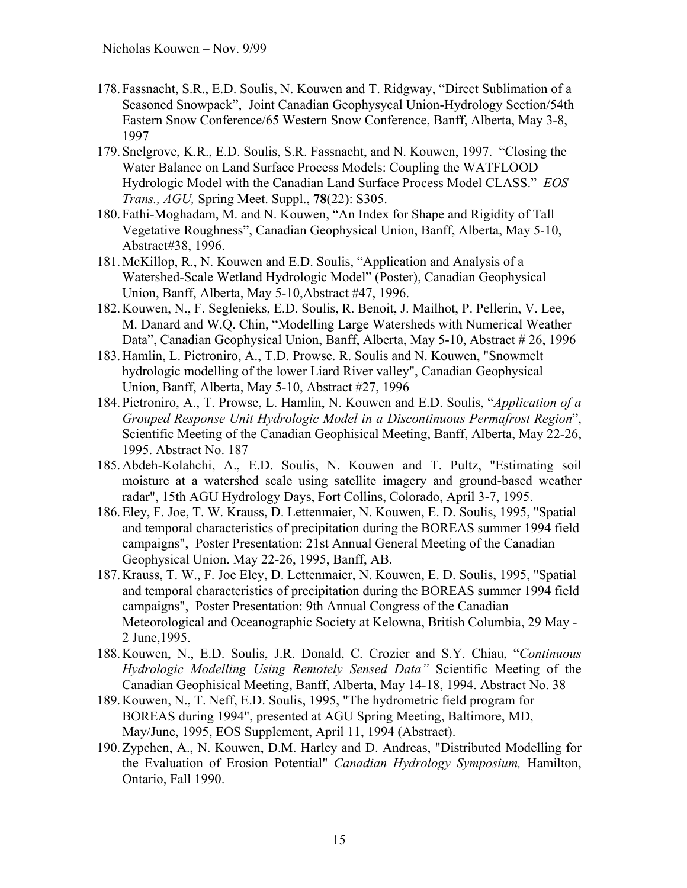- 178.Fassnacht, S.R., E.D. Soulis, N. Kouwen and T. Ridgway, "Direct Sublimation of a Seasoned Snowpack", Joint Canadian Geophysycal Union-Hydrology Section/54th Eastern Snow Conference/65 Western Snow Conference, Banff, Alberta, May 3-8, 1997
- 179.Snelgrove, K.R., E.D. Soulis, S.R. Fassnacht, and N. Kouwen, 1997. "Closing the Water Balance on Land Surface Process Models: Coupling the WATFLOOD Hydrologic Model with the Canadian Land Surface Process Model CLASS." *EOS Trans., AGU,* Spring Meet. Suppl., **78**(22): S305.
- 180.Fathi-Moghadam, M. and N. Kouwen, "An Index for Shape and Rigidity of Tall Vegetative Roughness", Canadian Geophysical Union, Banff, Alberta, May 5-10, Abstract#38, 1996.
- 181.McKillop, R., N. Kouwen and E.D. Soulis, "Application and Analysis of a Watershed-Scale Wetland Hydrologic Model" (Poster), Canadian Geophysical Union, Banff, Alberta, May 5-10,Abstract #47, 1996.
- 182.Kouwen, N., F. Seglenieks, E.D. Soulis, R. Benoit, J. Mailhot, P. Pellerin, V. Lee, M. Danard and W.Q. Chin, "Modelling Large Watersheds with Numerical Weather Data", Canadian Geophysical Union, Banff, Alberta, May 5-10, Abstract # 26, 1996
- 183.Hamlin, L. Pietroniro, A., T.D. Prowse. R. Soulis and N. Kouwen, "Snowmelt hydrologic modelling of the lower Liard River valley", Canadian Geophysical Union, Banff, Alberta, May 5-10, Abstract #27, 1996
- 184.Pietroniro, A., T. Prowse, L. Hamlin, N. Kouwen and E.D. Soulis, "*Application of a Grouped Response Unit Hydrologic Model in a Discontinuous Permafrost Region*", Scientific Meeting of the Canadian Geophisical Meeting, Banff, Alberta, May 22-26, 1995. Abstract No. 187
- 185.Abdeh-Kolahchi, A., E.D. Soulis, N. Kouwen and T. Pultz, "Estimating soil moisture at a watershed scale using satellite imagery and ground-based weather radar", 15th AGU Hydrology Days, Fort Collins, Colorado, April 3-7, 1995.
- 186.Eley, F. Joe, T. W. Krauss, D. Lettenmaier, N. Kouwen, E. D. Soulis, 1995, "Spatial and temporal characteristics of precipitation during the BOREAS summer 1994 field campaigns", Poster Presentation: 21st Annual General Meeting of the Canadian Geophysical Union. May 22-26, 1995, Banff, AB.
- 187.Krauss, T. W., F. Joe Eley, D. Lettenmaier, N. Kouwen, E. D. Soulis, 1995, "Spatial and temporal characteristics of precipitation during the BOREAS summer 1994 field campaigns", Poster Presentation: 9th Annual Congress of the Canadian Meteorological and Oceanographic Society at Kelowna, British Columbia, 29 May - 2 June,1995.
- 188.Kouwen, N., E.D. Soulis, J.R. Donald, C. Crozier and S.Y. Chiau, "*Continuous Hydrologic Modelling Using Remotely Sensed Data"* Scientific Meeting of the Canadian Geophisical Meeting, Banff, Alberta, May 14-18, 1994. Abstract No. 38
- 189.Kouwen, N., T. Neff, E.D. Soulis, 1995, "The hydrometric field program for BOREAS during 1994", presented at AGU Spring Meeting, Baltimore, MD, May/June, 1995, EOS Supplement, April 11, 1994 (Abstract).
- 190.Zypchen, A., N. Kouwen, D.M. Harley and D. Andreas, "Distributed Modelling for the Evaluation of Erosion Potential" *Canadian Hydrology Symposium,* Hamilton, Ontario, Fall 1990.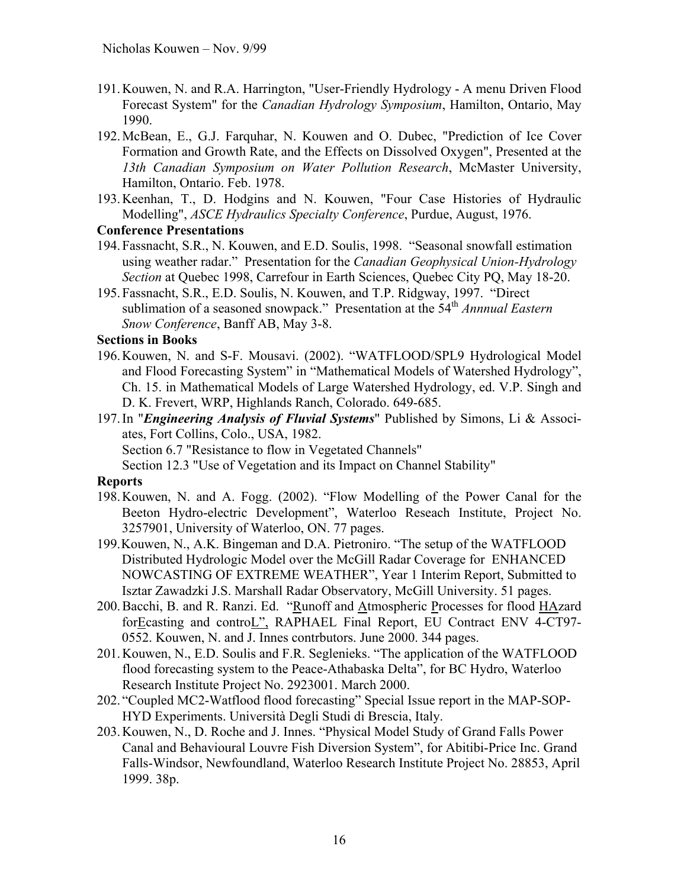- 191.Kouwen, N. and R.A. Harrington, "User-Friendly Hydrology A menu Driven Flood Forecast System" for the *Canadian Hydrology Symposium*, Hamilton, Ontario, May 1990.
- 192.McBean, E., G.J. Farquhar, N. Kouwen and O. Dubec, "Prediction of Ice Cover Formation and Growth Rate, and the Effects on Dissolved Oxygen", Presented at the *13th Canadian Symposium on Water Pollution Research*, McMaster University, Hamilton, Ontario. Feb. 1978.
- 193.Keenhan, T., D. Hodgins and N. Kouwen, "Four Case Histories of Hydraulic Modelling", *ASCE Hydraulics Specialty Conference*, Purdue, August, 1976.

#### **Conference Presentations**

- 194.Fassnacht, S.R., N. Kouwen, and E.D. Soulis, 1998. "Seasonal snowfall estimation using weather radar." Presentation for the *Canadian Geophysical Union-Hydrology Section* at Quebec 1998, Carrefour in Earth Sciences, Quebec City PQ, May 18-20.
- 195.Fassnacht, S.R., E.D. Soulis, N. Kouwen, and T.P. Ridgway, 1997. "Direct sublimation of a seasoned snowpack." Presentation at the 54<sup>th</sup> Annnual Eastern *Snow Conference*, Banff AB, May 3-8.

# **Sections in Books**

- 196.Kouwen, N. and S-F. Mousavi. (2002). "WATFLOOD/SPL9 Hydrological Model and Flood Forecasting System" in "Mathematical Models of Watershed Hydrology", Ch. 15. in Mathematical Models of Large Watershed Hydrology, ed. V.P. Singh and D. K. Frevert, WRP, Highlands Ranch, Colorado. 649-685.
- 197.In "*Engineering Analysis of Fluvial Systems*" Published by Simons, Li & Associates, Fort Collins, Colo., USA, 1982. Section 6.7 "Resistance to flow in Vegetated Channels"

Section 12.3 "Use of Vegetation and its Impact on Channel Stability"

#### **Reports**

- 198.Kouwen, N. and A. Fogg. (2002). "Flow Modelling of the Power Canal for the Beeton Hydro-electric Development", Waterloo Reseach Institute, Project No. 3257901, University of Waterloo, ON. 77 pages.
- 199.Kouwen, N., A.K. Bingeman and D.A. Pietroniro. "The setup of the WATFLOOD Distributed Hydrologic Model over the McGill Radar Coverage for ENHANCED NOWCASTING OF EXTREME WEATHER", Year 1 Interim Report, Submitted to Isztar Zawadzki J.S. Marshall Radar Observatory, McGill University. 51 pages.
- 200.Bacchi, B. and R. Ranzi. Ed. "Runoff and Atmospheric Processes for flood HAzard forEcasting and controL", RAPHAEL Final Report, EU Contract ENV 4-CT97- 0552. Kouwen, N. and J. Innes contrbutors. June 2000. 344 pages.
- 201.Kouwen, N., E.D. Soulis and F.R. Seglenieks. "The application of the WATFLOOD flood forecasting system to the Peace-Athabaska Delta", for BC Hydro, Waterloo Research Institute Project No. 2923001. March 2000.
- 202. "Coupled MC2-Watflood flood forecasting" Special Issue report in the MAP-SOP-HYD Experiments. Università Degli Studi di Brescia, Italy.
- 203.Kouwen, N., D. Roche and J. Innes. "Physical Model Study of Grand Falls Power Canal and Behavioural Louvre Fish Diversion System", for Abitibi-Price Inc. Grand Falls-Windsor, Newfoundland, Waterloo Research Institute Project No. 28853, April 1999. 38p.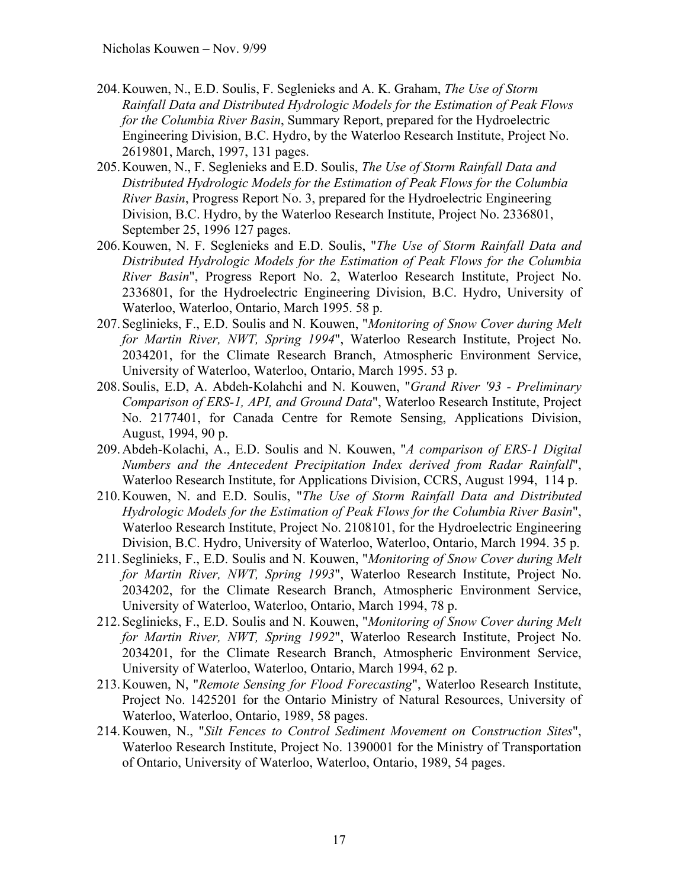- 204.Kouwen, N., E.D. Soulis, F. Seglenieks and A. K. Graham, *The Use of Storm Rainfall Data and Distributed Hydrologic Models for the Estimation of Peak Flows for the Columbia River Basin*, Summary Report, prepared for the Hydroelectric Engineering Division, B.C. Hydro, by the Waterloo Research Institute, Project No. 2619801, March, 1997, 131 pages.
- 205.Kouwen, N., F. Seglenieks and E.D. Soulis, *The Use of Storm Rainfall Data and Distributed Hydrologic Models for the Estimation of Peak Flows for the Columbia River Basin*, Progress Report No. 3, prepared for the Hydroelectric Engineering Division, B.C. Hydro, by the Waterloo Research Institute, Project No. 2336801, September 25, 1996 127 pages.
- 206.Kouwen, N. F. Seglenieks and E.D. Soulis, "*The Use of Storm Rainfall Data and Distributed Hydrologic Models for the Estimation of Peak Flows for the Columbia River Basin*", Progress Report No. 2, Waterloo Research Institute, Project No. 2336801, for the Hydroelectric Engineering Division, B.C. Hydro, University of Waterloo, Waterloo, Ontario, March 1995. 58 p.
- 207.Seglinieks, F., E.D. Soulis and N. Kouwen, "*Monitoring of Snow Cover during Melt for Martin River, NWT, Spring 1994*", Waterloo Research Institute, Project No. 2034201, for the Climate Research Branch, Atmospheric Environment Service, University of Waterloo, Waterloo, Ontario, March 1995. 53 p.
- 208.Soulis, E.D, A. Abdeh-Kolahchi and N. Kouwen, "*Grand River '93 Preliminary Comparison of ERS-1, API, and Ground Data*", Waterloo Research Institute, Project No. 2177401, for Canada Centre for Remote Sensing, Applications Division, August, 1994, 90 p.
- 209.Abdeh-Kolachi, A., E.D. Soulis and N. Kouwen, "*A comparison of ERS-1 Digital Numbers and the Antecedent Precipitation Index derived from Radar Rainfall*", Waterloo Research Institute, for Applications Division, CCRS, August 1994, 114 p.
- 210.Kouwen, N. and E.D. Soulis, "*The Use of Storm Rainfall Data and Distributed Hydrologic Models for the Estimation of Peak Flows for the Columbia River Basin*", Waterloo Research Institute, Project No. 2108101, for the Hydroelectric Engineering Division, B.C. Hydro, University of Waterloo, Waterloo, Ontario, March 1994. 35 p.
- 211.Seglinieks, F., E.D. Soulis and N. Kouwen, "*Monitoring of Snow Cover during Melt for Martin River, NWT, Spring 1993*", Waterloo Research Institute, Project No. 2034202, for the Climate Research Branch, Atmospheric Environment Service, University of Waterloo, Waterloo, Ontario, March 1994, 78 p.
- 212.Seglinieks, F., E.D. Soulis and N. Kouwen, "*Monitoring of Snow Cover during Melt for Martin River, NWT, Spring 1992*", Waterloo Research Institute, Project No. 2034201, for the Climate Research Branch, Atmospheric Environment Service, University of Waterloo, Waterloo, Ontario, March 1994, 62 p.
- 213.Kouwen, N, "*Remote Sensing for Flood Forecasting*", Waterloo Research Institute, Project No. 1425201 for the Ontario Ministry of Natural Resources, University of Waterloo, Waterloo, Ontario, 1989, 58 pages.
- 214.Kouwen, N., "*Silt Fences to Control Sediment Movement on Construction Sites*", Waterloo Research Institute, Project No. 1390001 for the Ministry of Transportation of Ontario, University of Waterloo, Waterloo, Ontario, 1989, 54 pages.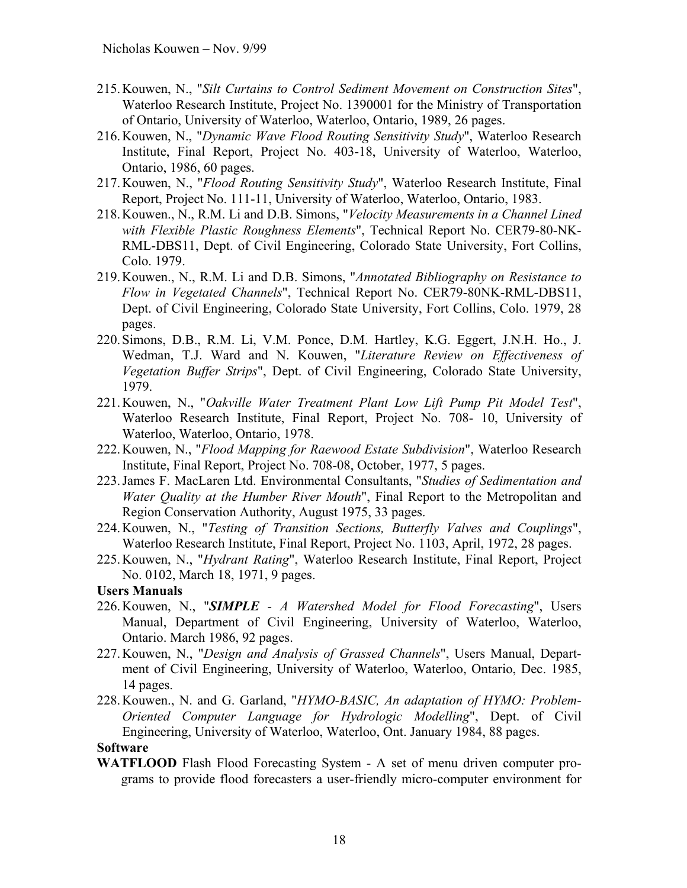- 215.Kouwen, N., "*Silt Curtains to Control Sediment Movement on Construction Sites*", Waterloo Research Institute, Project No. 1390001 for the Ministry of Transportation of Ontario, University of Waterloo, Waterloo, Ontario, 1989, 26 pages.
- 216.Kouwen, N., "*Dynamic Wave Flood Routing Sensitivity Study*", Waterloo Research Institute, Final Report, Project No. 403-18, University of Waterloo, Waterloo, Ontario, 1986, 60 pages.
- 217.Kouwen, N., "*Flood Routing Sensitivity Study*", Waterloo Research Institute, Final Report, Project No. 111-11, University of Waterloo, Waterloo, Ontario, 1983.
- 218.Kouwen., N., R.M. Li and D.B. Simons, "*Velocity Measurements in a Channel Lined with Flexible Plastic Roughness Elements*", Technical Report No. CER79-80-NK-RML-DBS11, Dept. of Civil Engineering, Colorado State University, Fort Collins, Colo. 1979.
- 219.Kouwen., N., R.M. Li and D.B. Simons, "*Annotated Bibliography on Resistance to Flow in Vegetated Channels*", Technical Report No. CER79-80NK-RML-DBS11, Dept. of Civil Engineering, Colorado State University, Fort Collins, Colo. 1979, 28 pages.
- 220.Simons, D.B., R.M. Li, V.M. Ponce, D.M. Hartley, K.G. Eggert, J.N.H. Ho., J. Wedman, T.J. Ward and N. Kouwen, "*Literature Review on Effectiveness of Vegetation Buffer Strips*", Dept. of Civil Engineering, Colorado State University, 1979.
- 221.Kouwen, N., "*Oakville Water Treatment Plant Low Lift Pump Pit Model Test*", Waterloo Research Institute, Final Report, Project No. 708- 10, University of Waterloo, Waterloo, Ontario, 1978.
- 222.Kouwen, N., "*Flood Mapping for Raewood Estate Subdivision*", Waterloo Research Institute, Final Report, Project No. 708-08, October, 1977, 5 pages.
- 223.James F. MacLaren Ltd. Environmental Consultants, "*Studies of Sedimentation and Water Quality at the Humber River Mouth*", Final Report to the Metropolitan and Region Conservation Authority, August 1975, 33 pages.
- 224.Kouwen, N., "*Testing of Transition Sections, Butterfly Valves and Couplings*", Waterloo Research Institute, Final Report, Project No. 1103, April, 1972, 28 pages.
- 225.Kouwen, N., "*Hydrant Rating*", Waterloo Research Institute, Final Report, Project No. 0102, March 18, 1971, 9 pages.
- **Users Manuals**
- 226.Kouwen, N., "*SIMPLE A Watershed Model for Flood Forecasting*", Users Manual, Department of Civil Engineering, University of Waterloo, Waterloo, Ontario. March 1986, 92 pages.
- 227.Kouwen, N., "*Design and Analysis of Grassed Channels*", Users Manual, Department of Civil Engineering, University of Waterloo, Waterloo, Ontario, Dec. 1985, 14 pages.
- 228.Kouwen., N. and G. Garland, "*HYMO-BASIC, An adaptation of HYMO: Problem-Oriented Computer Language for Hydrologic Modelling*", Dept. of Civil Engineering, University of Waterloo, Waterloo, Ont. January 1984, 88 pages.

#### **Software**

**WATFLOOD** Flash Flood Forecasting System - A set of menu driven computer programs to provide flood forecasters a user-friendly micro-computer environment for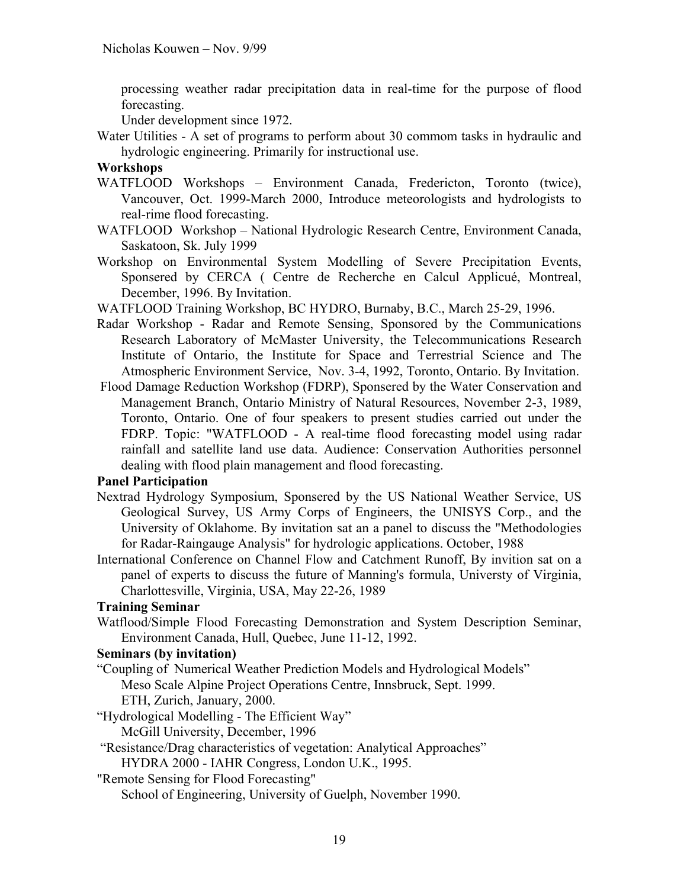processing weather radar precipitation data in real-time for the purpose of flood forecasting.

Under development since 1972.

Water Utilities - A set of programs to perform about 30 commom tasks in hydraulic and hydrologic engineering. Primarily for instructional use.

#### **Workshops**

- WATFLOOD Workshops Environment Canada, Fredericton, Toronto (twice), Vancouver, Oct. 1999-March 2000, Introduce meteorologists and hydrologists to real-rime flood forecasting.
- WATFLOOD Workshop National Hydrologic Research Centre, Environment Canada, Saskatoon, Sk. July 1999
- Workshop on Environmental System Modelling of Severe Precipitation Events, Sponsered by CERCA ( Centre de Recherche en Calcul Applicué, Montreal, December, 1996. By Invitation.
- WATFLOOD Training Workshop, BC HYDRO, Burnaby, B.C., March 25-29, 1996.
- Radar Workshop Radar and Remote Sensing, Sponsored by the Communications Research Laboratory of McMaster University, the Telecommunications Research Institute of Ontario, the Institute for Space and Terrestrial Science and The Atmospheric Environment Service, Nov. 3-4, 1992, Toronto, Ontario. By Invitation.
- Flood Damage Reduction Workshop (FDRP), Sponsered by the Water Conservation and Management Branch, Ontario Ministry of Natural Resources, November 2-3, 1989, Toronto, Ontario. One of four speakers to present studies carried out under the FDRP. Topic: "WATFLOOD - A real-time flood forecasting model using radar rainfall and satellite land use data. Audience: Conservation Authorities personnel dealing with flood plain management and flood forecasting.

#### **Panel Participation**

- Nextrad Hydrology Symposium, Sponsered by the US National Weather Service, US Geological Survey, US Army Corps of Engineers, the UNISYS Corp., and the University of Oklahome. By invitation sat an a panel to discuss the "Methodologies for Radar-Raingauge Analysis" for hydrologic applications. October, 1988
- International Conference on Channel Flow and Catchment Runoff, By invition sat on a panel of experts to discuss the future of Manning's formula, Universty of Virginia, Charlottesville, Virginia, USA, May 22-26, 1989

## **Training Seminar**

Watflood/Simple Flood Forecasting Demonstration and System Description Seminar, Environment Canada, Hull, Quebec, June 11-12, 1992.

#### **Seminars (by invitation)**

"Coupling of Numerical Weather Prediction Models and Hydrological Models" Meso Scale Alpine Project Operations Centre, Innsbruck, Sept. 1999.

ETH, Zurich, January, 2000.

"Hydrological Modelling - The Efficient Way"

McGill University, December, 1996

"Resistance/Drag characteristics of vegetation: Analytical Approaches"

HYDRA 2000 - IAHR Congress, London U.K., 1995.

"Remote Sensing for Flood Forecasting"

School of Engineering, University of Guelph, November 1990.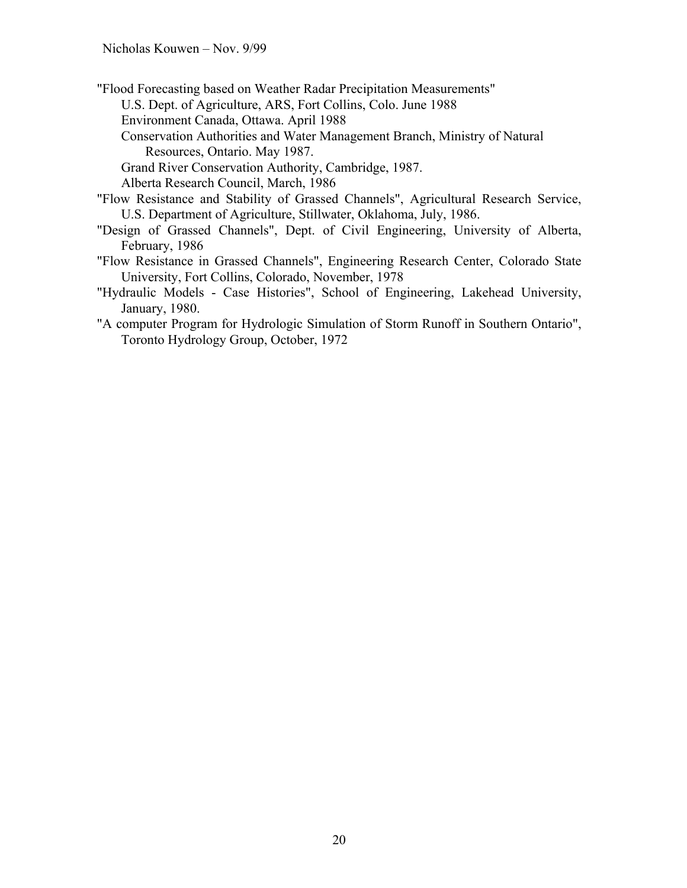"Flood Forecasting based on Weather Radar Precipitation Measurements"

U.S. Dept. of Agriculture, ARS, Fort Collins, Colo. June 1988

Environment Canada, Ottawa. April 1988

 Conservation Authorities and Water Management Branch, Ministry of Natural Resources, Ontario. May 1987.

Grand River Conservation Authority, Cambridge, 1987.

Alberta Research Council, March, 1986

- "Flow Resistance and Stability of Grassed Channels", Agricultural Research Service, U.S. Department of Agriculture, Stillwater, Oklahoma, July, 1986.
- "Design of Grassed Channels", Dept. of Civil Engineering, University of Alberta, February, 1986
- "Flow Resistance in Grassed Channels", Engineering Research Center, Colorado State University, Fort Collins, Colorado, November, 1978
- "Hydraulic Models Case Histories", School of Engineering, Lakehead University, January, 1980.
- "A computer Program for Hydrologic Simulation of Storm Runoff in Southern Ontario", Toronto Hydrology Group, October, 1972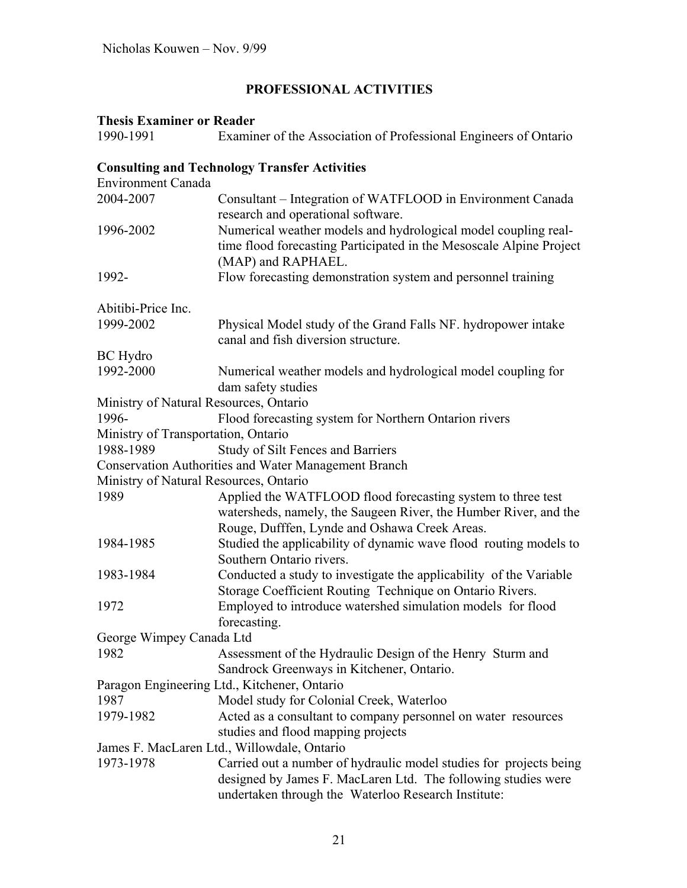# **PROFESSIONAL ACTIVITIES**

# **Thesis Examiner or Reader**<br>1990-1991 **Examin**

| тисяя рааннист от клачен               |                                                                     |
|----------------------------------------|---------------------------------------------------------------------|
| 1990-1991                              | Examiner of the Association of Professional Engineers of Ontario    |
|                                        | <b>Consulting and Technology Transfer Activities</b>                |
| <b>Environment Canada</b>              |                                                                     |
| 2004-2007                              | Consultant – Integration of WATFLOOD in Environment Canada          |
|                                        | research and operational software.                                  |
| 1996-2002                              | Numerical weather models and hydrological model coupling real-      |
|                                        | time flood forecasting Participated in the Mesoscale Alpine Project |
|                                        | (MAP) and RAPHAEL.                                                  |
| 1992-                                  | Flow forecasting demonstration system and personnel training        |
| Abitibi-Price Inc.                     |                                                                     |
| 1999-2002                              | Physical Model study of the Grand Falls NF. hydropower intake       |
|                                        | canal and fish diversion structure.                                 |
| <b>BC</b> Hydro                        |                                                                     |
| 1992-2000                              | Numerical weather models and hydrological model coupling for        |
|                                        | dam safety studies                                                  |
| Ministry of Natural Resources, Ontario |                                                                     |
| 1996-                                  | Flood forecasting system for Northern Ontarion rivers               |
| Ministry of Transportation, Ontario    |                                                                     |
| 1988-1989                              | Study of Silt Fences and Barriers                                   |
|                                        | <b>Conservation Authorities and Water Management Branch</b>         |
| Ministry of Natural Resources, Ontario |                                                                     |
| 1989                                   | Applied the WATFLOOD flood forecasting system to three test         |
|                                        | watersheds, namely, the Saugeen River, the Humber River, and the    |
|                                        | Rouge, Dufffen, Lynde and Oshawa Creek Areas.                       |
| 1984-1985                              | Studied the applicability of dynamic wave flood routing models to   |
|                                        | Southern Ontario rivers.                                            |
| 1983-1984                              | Conducted a study to investigate the applicability of the Variable  |
|                                        | Storage Coefficient Routing Technique on Ontario Rivers.            |
| 1972                                   | Employed to introduce watershed simulation models for flood         |
|                                        | forecasting.                                                        |
| George Wimpey Canada Ltd               |                                                                     |
| 1982                                   | Assessment of the Hydraulic Design of the Henry Sturm and           |
|                                        | Sandrock Greenways in Kitchener, Ontario.                           |
|                                        | Paragon Engineering Ltd., Kitchener, Ontario                        |
| 1987                                   | Model study for Colonial Creek, Waterloo                            |
| 1979-1982                              | Acted as a consultant to company personnel on water resources       |
|                                        | studies and flood mapping projects                                  |
|                                        | James F. MacLaren Ltd., Willowdale, Ontario                         |
| 1973-1978                              | Carried out a number of hydraulic model studies for projects being  |
|                                        | designed by James F. MacLaren Ltd. The following studies were       |
|                                        | undertaken through the Waterloo Research Institute:                 |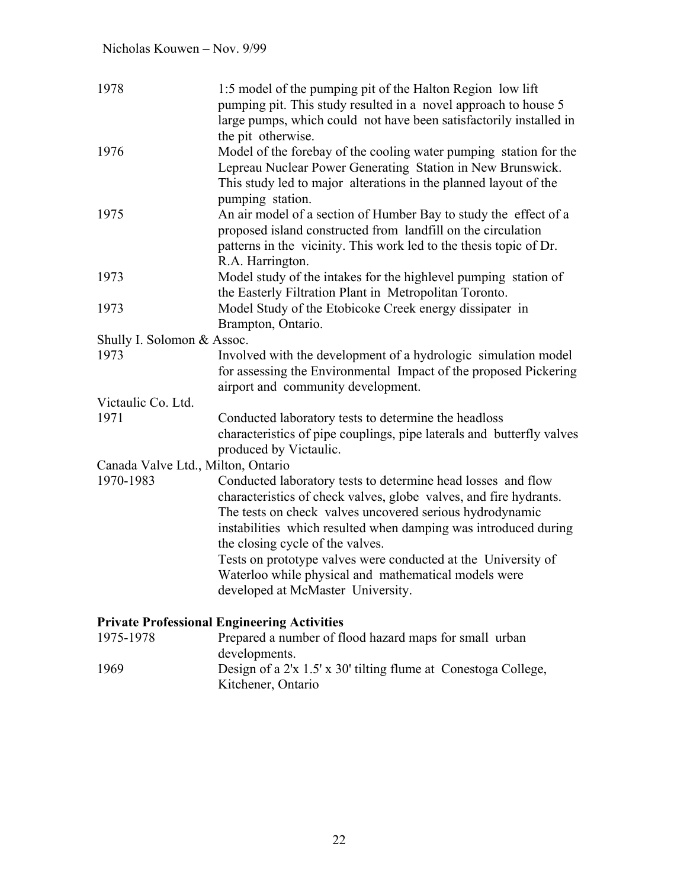| 1978                               | 1:5 model of the pumping pit of the Halton Region low lift<br>pumping pit. This study resulted in a novel approach to house 5<br>large pumps, which could not have been satisfactorily installed in<br>the pit otherwise.                                                                                                                                                                                                                                          |
|------------------------------------|--------------------------------------------------------------------------------------------------------------------------------------------------------------------------------------------------------------------------------------------------------------------------------------------------------------------------------------------------------------------------------------------------------------------------------------------------------------------|
| 1976                               | Model of the forebay of the cooling water pumping station for the<br>Lepreau Nuclear Power Generating Station in New Brunswick.<br>This study led to major alterations in the planned layout of the<br>pumping station.                                                                                                                                                                                                                                            |
| 1975                               | An air model of a section of Humber Bay to study the effect of a<br>proposed island constructed from landfill on the circulation<br>patterns in the vicinity. This work led to the thesis topic of Dr.<br>R.A. Harrington.                                                                                                                                                                                                                                         |
| 1973                               | Model study of the intakes for the highlevel pumping station of<br>the Easterly Filtration Plant in Metropolitan Toronto.                                                                                                                                                                                                                                                                                                                                          |
| 1973                               | Model Study of the Etobicoke Creek energy dissipater in<br>Brampton, Ontario.                                                                                                                                                                                                                                                                                                                                                                                      |
| Shully I. Solomon & Assoc.         |                                                                                                                                                                                                                                                                                                                                                                                                                                                                    |
| 1973                               | Involved with the development of a hydrologic simulation model<br>for assessing the Environmental Impact of the proposed Pickering<br>airport and community development.                                                                                                                                                                                                                                                                                           |
| Victaulic Co. Ltd.                 |                                                                                                                                                                                                                                                                                                                                                                                                                                                                    |
| 1971                               | Conducted laboratory tests to determine the headloss<br>characteristics of pipe couplings, pipe laterals and butterfly valves<br>produced by Victaulic.                                                                                                                                                                                                                                                                                                            |
| Canada Valve Ltd., Milton, Ontario |                                                                                                                                                                                                                                                                                                                                                                                                                                                                    |
| 1970-1983                          | Conducted laboratory tests to determine head losses and flow<br>characteristics of check valves, globe valves, and fire hydrants.<br>The tests on check valves uncovered serious hydrodynamic<br>instabilities which resulted when damping was introduced during<br>the closing cycle of the valves.<br>Tests on prototype valves were conducted at the University of<br>Waterloo while physical and mathematical models were<br>developed at McMaster University. |
|                                    | <b>Private Professional Engineering Activities</b>                                                                                                                                                                                                                                                                                                                                                                                                                 |
| 1975-1978                          | Prepared a number of flood hazard maps for small urban<br>developments.                                                                                                                                                                                                                                                                                                                                                                                            |
| 1969                               | Design of a 2'x 1.5' x 30' tilting flume at Conestoga College,<br>Kitchener, Ontario                                                                                                                                                                                                                                                                                                                                                                               |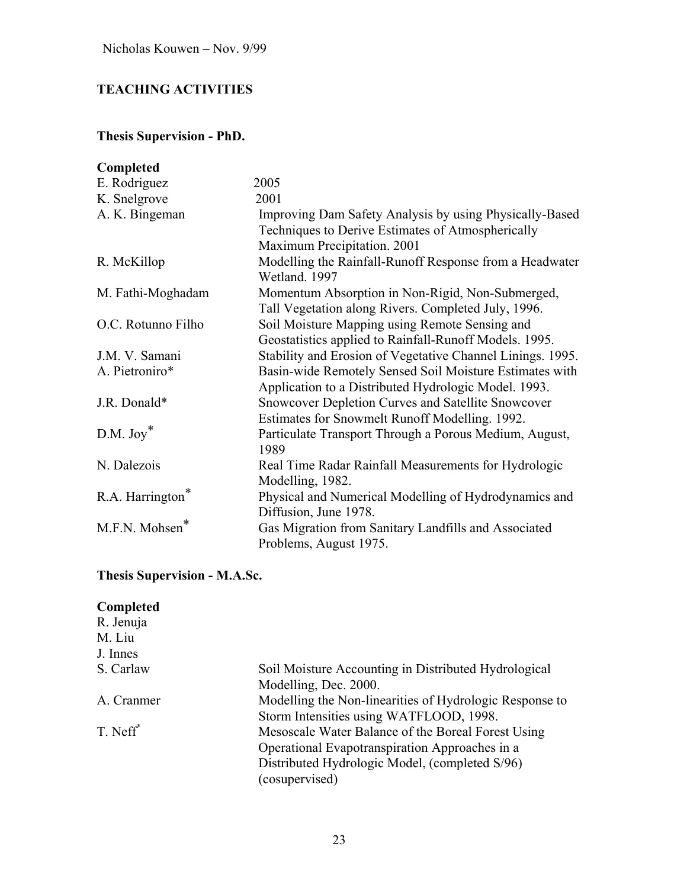# **TEACHING ACTIVITIES**

# **Thesis Supervision - PhD.**

| Completed          |                                                                                                                                             |
|--------------------|---------------------------------------------------------------------------------------------------------------------------------------------|
| E. Rodriguez       | 2005                                                                                                                                        |
| K. Snelgrove       | 2001                                                                                                                                        |
| A. K. Bingeman     | Improving Dam Safety Analysis by using Physically-Based<br>Techniques to Derive Estimates of Atmospherically<br>Maximum Precipitation. 2001 |
| R. McKillop        | Modelling the Rainfall-Runoff Response from a Headwater<br>Wetland, 1997                                                                    |
| M. Fathi-Moghadam  | Momentum Absorption in Non-Rigid, Non-Submerged,<br>Tall Vegetation along Rivers. Completed July, 1996.                                     |
| O.C. Rotunno Filho | Soil Moisture Mapping using Remote Sensing and<br>Geostatistics applied to Rainfall-Runoff Models. 1995.                                    |
| J.M. V. Samani     | Stability and Erosion of Vegetative Channel Linings. 1995.                                                                                  |
| A. Pietroniro*     | Basin-wide Remotely Sensed Soil Moisture Estimates with<br>Application to a Distributed Hydrologic Model. 1993.                             |
| J.R. Donald*       | Snowcover Depletion Curves and Satellite Snowcover<br>Estimates for Snowmelt Runoff Modelling. 1992.                                        |
| $D.M.$ Joy $^*$    | Particulate Transport Through a Porous Medium, August,<br>1989                                                                              |
| N. Dalezois        | Real Time Radar Rainfall Measurements for Hydrologic<br>Modelling, 1982.                                                                    |
| R.A. Harrington*   | Physical and Numerical Modelling of Hydrodynamics and<br>Diffusion, June 1978.                                                              |
| M.F.N. Mohsen*     | Gas Migration from Sanitary Landfills and Associated<br>Problems, August 1975.                                                              |

# **Thesis Supervision - M.A.Sc.**

| R. Jenuja            |                                                         |
|----------------------|---------------------------------------------------------|
| M. Liu               |                                                         |
| J. Innes             |                                                         |
| S. Carlaw            | Soil Moisture Accounting in Distributed Hydrological    |
|                      | Modelling, Dec. 2000.                                   |
| A. Cranmer           | Modelling the Non-linearities of Hydrologic Response to |
|                      | Storm Intensities using WATFLOOD, 1998.                 |
| T. Neff <sup>*</sup> | Mesoscale Water Balance of the Boreal Forest Using      |
|                      | Operational Evapotranspiration Approaches in a          |
|                      | Distributed Hydrologic Model, (completed S/96)          |
|                      | (cosupervised)                                          |
|                      |                                                         |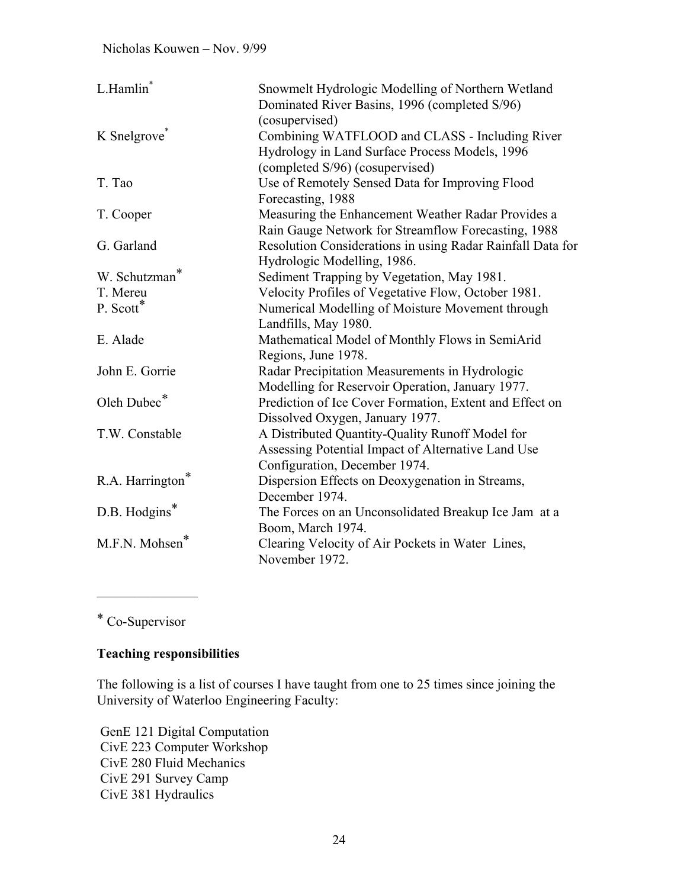| L.Hamlin*                | Snowmelt Hydrologic Modelling of Northern Wetland<br>Dominated River Basins, 1996 (completed S/96) |
|--------------------------|----------------------------------------------------------------------------------------------------|
|                          | (cosupervised)                                                                                     |
| K Snelgrove <sup>®</sup> | Combining WATFLOOD and CLASS - Including River                                                     |
|                          | Hydrology in Land Surface Process Models, 1996                                                     |
|                          | (completed S/96) (cosupervised)                                                                    |
| T. Tao                   | Use of Remotely Sensed Data for Improving Flood                                                    |
|                          | Forecasting, 1988                                                                                  |
|                          |                                                                                                    |
| T. Cooper                | Measuring the Enhancement Weather Radar Provides a                                                 |
|                          | Rain Gauge Network for Streamflow Forecasting, 1988                                                |
| G. Garland               | Resolution Considerations in using Radar Rainfall Data for                                         |
|                          | Hydrologic Modelling, 1986.                                                                        |
| W. Schutzman*            | Sediment Trapping by Vegetation, May 1981.                                                         |
| T. Mereu                 | Velocity Profiles of Vegetative Flow, October 1981.                                                |
| P. Scott*                | Numerical Modelling of Moisture Movement through                                                   |
|                          | Landfills, May 1980.                                                                               |
| E. Alade                 | Mathematical Model of Monthly Flows in SemiArid                                                    |
|                          | Regions, June 1978.                                                                                |
| John E. Gorrie           | Radar Precipitation Measurements in Hydrologic                                                     |
|                          | Modelling for Reservoir Operation, January 1977.                                                   |
| Oleh Dubec*              | Prediction of Ice Cover Formation, Extent and Effect on                                            |
|                          | Dissolved Oxygen, January 1977.                                                                    |
| T.W. Constable           | A Distributed Quantity-Quality Runoff Model for                                                    |
|                          | Assessing Potential Impact of Alternative Land Use                                                 |
|                          | Configuration, December 1974.                                                                      |
| R.A. Harrington*         | Dispersion Effects on Deoxygenation in Streams,                                                    |
|                          | December 1974.                                                                                     |
| D.B. Hodgins*            |                                                                                                    |
|                          | The Forces on an Unconsolidated Breakup Ice Jam at a                                               |
|                          | Boom, March 1974.                                                                                  |
| M.F.N. Mohsen*           | Clearing Velocity of Air Pockets in Water Lines,                                                   |
|                          | November 1972.                                                                                     |

\* Co-Supervisor

 $\frac{1}{2}$ 

# **Teaching responsibilities**

The following is a list of courses I have taught from one to 25 times since joining the University of Waterloo Engineering Faculty:

 GenE 121 Digital Computation CivE 223 Computer Workshop CivE 280 Fluid Mechanics CivE 291 Survey Camp CivE 381 Hydraulics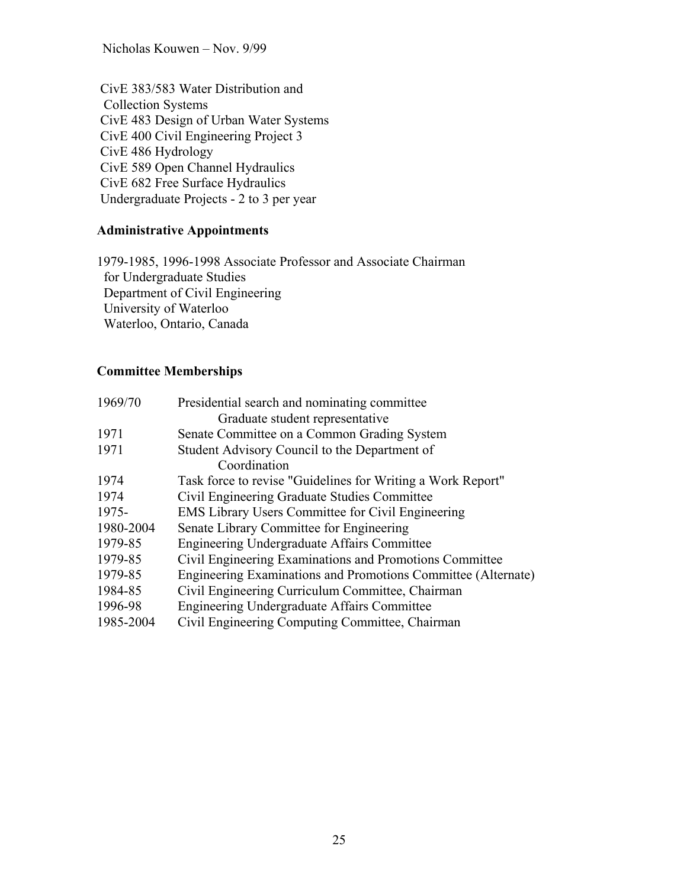Nicholas Kouwen – Nov. 9/99

 CivE 383/583 Water Distribution and Collection Systems CivE 483 Design of Urban Water Systems CivE 400 Civil Engineering Project 3 CivE 486 Hydrology CivE 589 Open Channel Hydraulics CivE 682 Free Surface Hydraulics Undergraduate Projects - 2 to 3 per year

#### **Administrative Appointments**

1979-1985, 1996-1998 Associate Professor and Associate Chairman for Undergraduate Studies Department of Civil Engineering University of Waterloo Waterloo, Ontario, Canada

# **Committee Memberships**

| Presidential search and nominating committee                  |
|---------------------------------------------------------------|
| Graduate student representative                               |
| Senate Committee on a Common Grading System                   |
| Student Advisory Council to the Department of                 |
| Coordination                                                  |
| Task force to revise "Guidelines for Writing a Work Report"   |
| Civil Engineering Graduate Studies Committee                  |
| <b>EMS Library Users Committee for Civil Engineering</b>      |
| Senate Library Committee for Engineering                      |
| Engineering Undergraduate Affairs Committee                   |
| Civil Engineering Examinations and Promotions Committee       |
| Engineering Examinations and Promotions Committee (Alternate) |
| Civil Engineering Curriculum Committee, Chairman              |
| Engineering Undergraduate Affairs Committee                   |
| Civil Engineering Computing Committee, Chairman               |
|                                                               |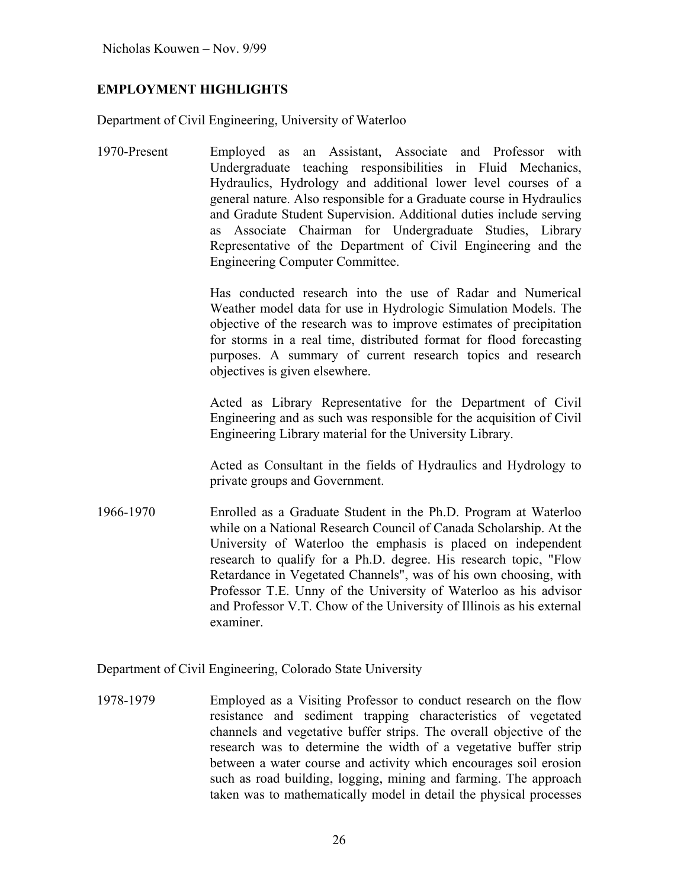### **EMPLOYMENT HIGHLIGHTS**

Department of Civil Engineering, University of Waterloo

1970-Present Employed as an Assistant, Associate and Professor with Undergraduate teaching responsibilities in Fluid Mechanics, Hydraulics, Hydrology and additional lower level courses of a general nature. Also responsible for a Graduate course in Hydraulics and Gradute Student Supervision. Additional duties include serving as Associate Chairman for Undergraduate Studies, Library Representative of the Department of Civil Engineering and the Engineering Computer Committee.

> Has conducted research into the use of Radar and Numerical Weather model data for use in Hydrologic Simulation Models. The objective of the research was to improve estimates of precipitation for storms in a real time, distributed format for flood forecasting purposes. A summary of current research topics and research objectives is given elsewhere.

> Acted as Library Representative for the Department of Civil Engineering and as such was responsible for the acquisition of Civil Engineering Library material for the University Library.

> Acted as Consultant in the fields of Hydraulics and Hydrology to private groups and Government.

1966-1970 Enrolled as a Graduate Student in the Ph.D. Program at Waterloo while on a National Research Council of Canada Scholarship. At the University of Waterloo the emphasis is placed on independent research to qualify for a Ph.D. degree. His research topic, "Flow Retardance in Vegetated Channels", was of his own choosing, with Professor T.E. Unny of the University of Waterloo as his advisor and Professor V.T. Chow of the University of Illinois as his external examiner.

Department of Civil Engineering, Colorado State University

1978-1979 Employed as a Visiting Professor to conduct research on the flow resistance and sediment trapping characteristics of vegetated channels and vegetative buffer strips. The overall objective of the research was to determine the width of a vegetative buffer strip between a water course and activity which encourages soil erosion such as road building, logging, mining and farming. The approach taken was to mathematically model in detail the physical processes